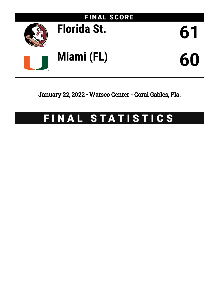

January 22, 2022 • Watsco Center - Coral Gables, Fla.

# FINAL STATISTICS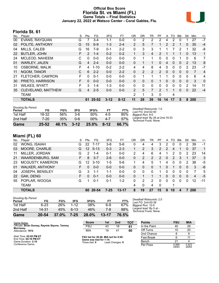### **Official Box Score Florida St. vs Miami (FL) Game Totals -- Final Statistics January 22, 2022 at Watsco Center - Coral Gables, Fla.**



## **Florida St. 61**

| No. | Player                | S  | Pts           | FG       | 3FG      | FT.      | 0 <sub>R</sub> | DR       | TR             | PF             | A                     | TO       | <b>Blk</b>   | Stl            | Min | $+/-$          |
|-----|-----------------------|----|---------------|----------|----------|----------|----------------|----------|----------------|----------------|-----------------------|----------|--------------|----------------|-----|----------------|
| 00  | EVANS, RAYQUAN        | G  |               | $3-4$    | $1 - 1$  | $0 - 0$  | 0              | 2        | 2              | 2              | 4                     | 2        | $\Omega$     |                | 27  | $-7$           |
| 02  | POLITE, ANTHONY       | G  | 15            | $6-9$    | $1 - 3$  | $2 - 4$  | $\overline{2}$ | 5        | 7              |                | $\mathbf{2}^{\prime}$ | 2        |              | 0              | 35  | $-4$           |
| 04  | MILLS, CALEB          | G  | 16            | 7-9      | $0 - 1$  | $2 - 2$  | 0              | 3        | 3              |                |                       |          | 2            |                | 32  | -8             |
| 22  | <b>BUTLER, JOHN</b>   |    | $\mathcal{P}$ | $1 - 4$  | $0 - 2$  | $0 - 2$  |                | 3        | 4              | $\overline{2}$ |                       |          |              | 0              | 13  | 1              |
| 24  | MCLEOD, NAHEEM        | C  | 0             | $0 - 0$  | $0 - 0$  | $0 - 0$  | 0              | 1        | 1              | $\Omega$       | 0                     | 0        |              | 0              | 6   | 7              |
| 01  | <b>WARLEY, JALEN</b>  | G  | 4             | $2 - 4$  | $0 - 0$  | $0 - 0$  | $\mathbf{0}$   | 1        | 1              | 0              | 4                     | 0        | $\mathbf{0}$ | $\overline{2}$ | 13  | 8              |
| 10  | <b>OSBORNE, MALIK</b> | F  | 4             | $1 - 10$ | $0 - 2$  | $2 - 2$  | 4              | 4        | 8              | 4              | 0                     | 0        | $\mathbf 0$  | 2              | 23  | $-7$           |
| 11  | NGOM, TANOR           | С  | 6             | $2 - 2$  | $0 - 0$  | $2 - 2$  | $\Omega$       | 2        | $\overline{2}$ | $\overline{2}$ | $\Omega$              | $\Omega$ | $\Omega$     | 0              | 7   | $\overline{4}$ |
| 21  | FLETCHER, CAM'RON     | F. | 0             | $0 - 1$  | $0 - 0$  | $0 - 0$  | 0              | 1        |                | 1              |                       | $\Omega$ | $\Omega$     | $\Omega$       | 6   | 4              |
| 30  | PRIETO, HARRISON      | F. | $\Omega$      | $0 - 0$  | $0 - 0$  | $0 - 0$  | $\mathbf{0}$   | $\Omega$ | $\mathbf{0}$   |                | 0                     | $\Omega$ | $\mathbf{0}$ | $\mathbf{0}$   | 3   | 0              |
| 31  | WILKES, WYATT         | F  | 3             | $1 - 4$  | $1 - 3$  | $0 - 0$  | $\Omega$       | $\Omega$ | $\Omega$       | 0              | $\Omega$              | $\Omega$ | $\Omega$     | $\mathcal{P}$  | 14  | 11             |
| 35  | CLEVELAND, MATTHEW    | G  | 4             | $2 - 5$  | $0 - 0$  | $0 - 0$  | $\overline{2}$ | 5        | $\overline{7}$ | 2              |                       |          | $\Omega$     | 0              | 22  | $-4$           |
|     | <b>TEAM</b>           |    |               |          |          |          | $\overline{2}$ | 1        | 3              | 0              |                       | 4        |              |                |     |                |
|     | TOTALS                |    | 61            | 25-52    | $3 - 12$ | $8 - 12$ | 11             | 28       | 39             | 16             | 14                    | 17       | 5            | 8              | 200 |                |

| <b>Shooting By Period</b><br>Period | FG    | FG%   | 3FG      | 3FG%   | FT     | FT%   | Deadball Rebounds: 1,0<br>Last FG: 2nd-02:40               |
|-------------------------------------|-------|-------|----------|--------|--------|-------|------------------------------------------------------------|
| 1st Half                            | 18-32 | 56%   | $3-6$    | 50%    | $4-5$  | 80%   | Biggest Run: 8-0                                           |
| 2nd Half                            | 7-20  | 35%   | 0-6      | $00\%$ | 4-7    | 57%   | Largest lead: By 26 at 2nd-19:33<br>Technical Fouls: None. |
| Game                                | 25-52 | 48.1% | $3 - 12$ | 25.0%  | $8-12$ | 66.7% |                                                            |

# **Miami (FL) 60**

| No. | Plaver                  | S  | Pts           | FG.       | 3FG     | FT        | 0R | DR       | TR       | РF       | A        | TO. | <b>B</b> lk | Stl      | Min | $+/-$ |
|-----|-------------------------|----|---------------|-----------|---------|-----------|----|----------|----------|----------|----------|-----|-------------|----------|-----|-------|
| 02  | WONG, ISAIAH            | G  | 22            | $7 - 17$  | $3 - 8$ | $5-6$     | 0  | 4        | 4        | 3        | 2        | 0   | 0           | 2        | 39  | $-1$  |
| 03  | MOORE, CHARLIE          | G  | 12            | $5 - 13$  | $0 - 3$ | $2 - 3$   |    | 2        | 3        | 2        | 2        | 4   |             | 0        | 37  | 1     |
| 11  | MILLER, JORDAN          | G  | $\mathcal{P}$ | $1 - 4$   | $0 - 1$ | $0 - 0$   | 2  | 4        | 6        | 4        |          | 2   | 0           | 2        | 23  | 14    |
| 21  | <b>WAARDENBURG, SAM</b> | F. | 8             | $3 - 7$   | $2 - 6$ | $0 - 0$   | 0  | 2        | 2        | 2        | 0        | 2   | 3           |          | 37  | 3     |
| 23  | MCGUSTY, KAMERON        | G  | 12            | $3 - 10$  | $1 - 5$ | $5-6$     |    | 4        | 5        |          | 4        | 0   | 0           | 2        | 38  | -5    |
| 01  | <b>WALKER, ANTHONY</b>  | F. | 0             | $0 - 0$   | $0 - 0$ | $0 - 0$   | 0  | 0        | $\Omega$ |          | 0        |     | $\Omega$    | 0        | 3   | -6    |
| 04  | JOSEPH, BENSLEY         | G  | 3             | $1 - 1$   | $1 - 1$ | $0-0$     | 0  | $\Omega$ | $\Omega$ |          | 0        | 0   | 0           | n        |     | 5     |
| 22  | <b>GAK, DENG</b>        | F. | 0             | $0 - 1$   | $0 - 0$ | $0 - 0$   | 0  |          |          |          | $\Omega$ | 0   | $\Omega$    | 0        | 4   | $-5$  |
| 55  | POPLAR, WOOGA           | G  |               | $0 - 1$   | 0-1     | 1-2       | 0  | 2        | 2        | 0        | 0        | 0   | 0           | $\Omega$ | 12  | $-11$ |
|     | <b>TEAM</b>             |    |               |           |         |           | 4  | 0        | 4        | $\Omega$ |          |     |             |          |     |       |
|     | <b>TOTALS</b>           |    | 60            | $20 - 54$ | 7-25    | $13 - 17$ | 8  | 19       | 27       | 15       | 9        | 10  |             |          | 200 |       |
|     |                         |    |               |           |         |           |    |          |          |          |          |     |             |          |     |       |

| Game                                | 20-54    | 37.0% | $7 - 25$ | 28.0% | 13-17 | 76.5% |           |
|-------------------------------------|----------|-------|----------|-------|-------|-------|-----------|
| 2nd Half                            | 14-31    | 45%   | 6-13     | 46%   | 7-8   | 88%   | Laı<br>Te |
| 1st Half                            | $6 - 23$ | 26%   | $1 - 12$ | 08%   | 6-9   | 67%   | Biç       |
| <b>Shooting By Period</b><br>Period | FG       | FG%   | 3FG      | 3FG%  | FT    | FT%   | De<br>La: |

*Deadball Rebounds:* 2,0 *Last FG:* 2nd-00:38 *Biggest Run:* 12-0 *Largest lead:* By 0 at - *Technical Fouls:* None.

| Game Notes:                                                       | <b>Score</b>                             | 1st | 2 <sub>nd</sub> | <b>TOT</b> | <b>Points</b>     | <b>FSU</b>     | <b>MIA</b>     |
|-------------------------------------------------------------------|------------------------------------------|-----|-----------------|------------|-------------------|----------------|----------------|
| Officials: Brian Dorsey, Raymie Styons, Tommy<br><b>Morrissey</b> | <b>FSU</b>                               | 43  | 18              | 61         | In the Paint      | 40             | 26             |
| Attendance: 7972                                                  | MIA                                      | 19  | 41              | 60         | Off Turns         | 10             | 20             |
|                                                                   |                                          |     |                 |            | 2nd Chance        |                |                |
| Start Time: 02:05 PM ET<br>End Time: 04:16 PM ET                  | FSU led for 38:46. MIA led for 0:00.     |     |                 |            | <b>Fast Break</b> |                | 11             |
| Game Duration: 2:10                                               | Game was tied for 1:14.<br>Times tied: 0 |     | Lead Changes: 0 |            | Bench             | 21             |                |
| Conference Game:                                                  |                                          |     |                 |            | Per Poss          | 0.968<br>29/63 | 0.923<br>26/65 |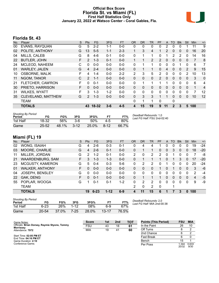#### **Official Box Score Florida St. vs Miami (FL) First Half Statistics Only January 22, 2022 at Watsco Center - Coral Gables, Fla.**



# **Florida St. 43**

| No. | Plaver                | S  | <b>Pts</b>     | <b>FG</b> | 3FG     | <b>FT</b> | <b>OR</b>      | <b>DR</b> | TR             | <b>PF</b>      | A        | TO           | <b>Blk</b>   | Stl          | <b>Min</b>     | $+/-$          |
|-----|-----------------------|----|----------------|-----------|---------|-----------|----------------|-----------|----------------|----------------|----------|--------------|--------------|--------------|----------------|----------------|
| 00  | <b>EVANS, RAYQUAN</b> | G  | 5              | $2 - 2$   | 1-1     | $0 - 0$   | 0              | 0         | 0              | 0              | 2        | 0            | 0            |              | 11             | 9              |
| 02  | POLITE, ANTHONY       | G  | 13             | $5 - 5$   | $1 - 1$ | $2 - 3$   |                | 3         | 4              |                | 2        | 0            | $\mathbf{0}$ | 0            | 16             | 20             |
| 04  | MILLS, CALEB          | G  | 8              | $4-6$     | $0 - 1$ | $0 - 0$   | 0              | 1         | 1              | 0              |          | 2            | 2            | $\Omega$     | 14             | 16             |
| 22  | <b>BUTLER, JOHN</b>   | F. | $\mathcal{P}$  | $1 - 3$   | $0 - 1$ | $0-0$     |                | 1         | $\overline{2}$ | 2              | 0        | 0            | $\mathbf{0}$ | 0            | $\overline{7}$ | 8              |
| 24  | MCLEOD, NAHEEM        | C  | 0              | $0 - 0$   | $0 - 0$ | $0 - 0$   | 0              | 1         | 1              | 0              | 0        | $\mathbf{0}$ |              | $\Omega$     | 6              | 7              |
| 01  | <b>WARLEY, JALEN</b>  | G  | $\overline{4}$ | $2 - 4$   | $0 - 0$ | $0 - 0$   | 0              | 1         | 1              | 0              | 4        | $\mathbf{0}$ | $\mathbf{0}$ | 2            | 9              | 15             |
| 10  | <b>OSBORNE, MALIK</b> | F  | 4              | $1 - 4$   | $0 - 0$ | $2 - 2$   | $\overline{2}$ | 3         | 5              | $\overline{2}$ | $\Omega$ | 0            | $\Omega$     | 2            | 10             | 13             |
| 11  | NGOM, TANOR           | С  | $\mathcal{P}$  | $1 - 1$   | $0 - 0$ | $0 - 0$   | 0              | $\Omega$  | $\mathbf{0}$   | $\overline{2}$ | $\Omega$ | $\mathbf{0}$ | $\mathbf{0}$ | $\mathbf{0}$ | 3              | 0              |
| 21  | FLETCHER, CAM'RON     | F. | 0              | $0 - 1$   | $0 - 0$ | $0 - 0$   | 0              | 1         | 1              | 1              | 1        | 0            | $\Omega$     | $\Omega$     | 6              | 4              |
| 30  | PRIETO, HARRISON      | F. | $\Omega$       | $0 - 0$   | $0 - 0$ | $0 - 0$   | $\Omega$       | 0         | $\mathbf{0}$   | 0              | 0        | $\mathbf{0}$ | $\Omega$     | $\mathbf{0}$ | 1              | $\overline{4}$ |
| 31  | <b>WILKES, WYATT</b>  | F  | 3              | $1 - 3$   | $1 - 2$ | $0 - 0$   | $\Omega$       | 0         | $\Omega$       | $\Omega$       | $\Omega$ | $\Omega$     | $\Omega$     | $\Omega$     | 7              | 12             |
| 35  | CLEVELAND, MATTHEW    | G  | 2              | $1 - 3$   | $0 - 0$ | $0 - 0$   | 0              | 3         | 3              |                |          | 0            | $\Omega$     | 0            | 10             | 12             |
|     | <b>TEAM</b>           |    |                |           |         |           | 0              | 1         |                | 0              |          | 0            |              |              |                |                |
|     | <b>TOTALS</b>         |    |                | 43 18-32  | 3-6     | $4 - 5$   | 4              | 15        | 19             | 9              | 11       | $\mathbf{2}$ | 3            | 5            | 100            |                |

| <b>Shooting By Period</b><br>Period | FG        | FG%   | 3FG      | 3FG%  |          | FT%   | Deadball Rebounds: 1,0<br>Last FG Half: FSU 2nd-02:40 |
|-------------------------------------|-----------|-------|----------|-------|----------|-------|-------------------------------------------------------|
| 1st Half                            | 18-32     | 56%   | $3-6$    | 50%   | 4-5      | 80%   |                                                       |
| Game                                | $25 - 52$ | 48.1% | $3 - 12$ | 25.0% | $8 - 12$ | 66.7% |                                                       |

**Miami (FL) 19**

| No. | Plaver                  | S. | <b>Pts</b>    | FG       | 3FG      | <b>FT</b> | <b>OR</b> | <b>DR</b> | TR | PF       | A           | TO | <b>B</b> lk  | Stl          | Min | $+/-$ |
|-----|-------------------------|----|---------------|----------|----------|-----------|-----------|-----------|----|----------|-------------|----|--------------|--------------|-----|-------|
| 02  | <b>WONG, ISAIAH</b>     | G  | 4             | $2-6$    | $0 - 3$  | $0 - 1$   | 0         | 4         | 4  |          | 0           | 0  | 0            | 0            | 19  | $-24$ |
| 03  | MOORE, CHARLIE          | G  | 4             | $2-6$    | $0 - 1$  | $0 - 0$   | 0         |           |    | 0        | $\mathbf 0$ | 3  | $\mathbf{0}$ | 0            | 18  | $-20$ |
| 11  | MILLER, JORDAN          | G  | $\mathcal{P}$ | $1 - 2$  | $0 - 1$  | $0-0$     | 2         | 0         | 2  | 2        | 0           |    | 0            | 0            |     | -8    |
| 21  | <b>WAARDENBURG, SAM</b> | F. | 3             | $1 - 3$  | $1 - 3$  | $0 - 0$   | 0         |           |    |          | 0           |    | 3            | 0            | 17  | $-20$ |
| 23  | MCGUSTY, KAMERON        | G  | 5             | $0 - 4$  | $0 - 3$  | $5-6$     | 0         | 2         | 2  | 0        |             | 0  | 0            | 0            | 20  | -24   |
| 01  | <b>WALKER, ANTHONY</b>  | F. | $\Omega$      | $0 - 0$  | $0 - 0$  | $0 - 0$   | 0         | 0         | 0  |          | 0           |    | $\Omega$     | $\mathbf{0}$ | 3   | -6    |
| 04  | JOSEPH, BENSLEY         | G  | 0             | $0 - 0$  | $0 - 0$  | $0-0$     | 0         | 0         | 0  | 0        | 0           | 0  | 0            | 0            | 2   | $-4$  |
| 22  | GAK, DENG               | F  | $\Omega$      | $0 - 1$  | $0 - 0$  | $0 - 0$   | 0         |           |    |          | 0           | 0  | 0            | $\Omega$     | 4   | $-5$  |
| 55  | POPLAR, WOOGA           | G  |               | $0 - 1$  | $0 - 1$  | $1 - 2$   | 0         | 2         | 2  | $\Omega$ | 0           | 0  | 0            | $\Omega$     | 9   | -9    |
|     | <b>TEAM</b>             |    |               |          |          |           | 2         | 0         | 2  | $\Omega$ |             |    |              |              |     |       |
|     | <b>TOTALS</b>           |    | 19            | $6 - 23$ | $1 - 12$ | $6-9$     | 4         | 11        | 15 | 6        | 1           | 7  | 3            | $\Omega$     | 100 |       |

| <b>Shooting By Period</b><br>Period | FG        | FG%        | 3FG      | 3FG%  |           | FT%   |
|-------------------------------------|-----------|------------|----------|-------|-----------|-------|
| 1st Half                            | $6 - 23$  | <b>26%</b> | $1 - 12$ | 08%   | հ-9       | 67%   |
| Game                                | $20 - 54$ | 37.0%      | $7-25$   | 28.0% | $13 - 17$ | 76.5% |

*Deadball Rebounds:* 2,0 *Last FG Half:* MIA 2nd-00:38

| Game Notes:                                                       | <b>Score</b> | 1st | 2nd            | <b>TOT</b> | <b>Points (This Period)</b> | <b>FSU</b>    | <b>MIA</b>    |
|-------------------------------------------------------------------|--------------|-----|----------------|------------|-----------------------------|---------------|---------------|
| Officials: Brian Dorsey, Raymie Styons, Tommy<br><b>Morrissey</b> | FSU          | 43  | 18             | 61         | In the Paint                | 26            | 10            |
| Attendance: 7972                                                  | MIA          | 19  | 4 <sup>1</sup> | 60         | Off Turns                   |               |               |
|                                                                   |              |     |                |            | 2nd Chance                  |               |               |
| Start Time: 02:05 PM ET<br>End Time: 04:16 PM ET                  |              |     |                |            | <b>Fast Break</b>           |               |               |
| Game Duration: 2:10                                               |              |     |                |            | Bench                       | 15            |               |
| Conference Game:                                                  |              |     |                |            | Per Poss                    | .344<br>20/32 | 0.633<br>9/30 |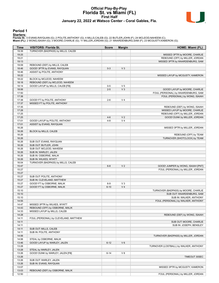#### **Official Play-By-Play Florida St. vs Miami (FL) First Half January 22, 2022 at Watsco Center - Coral Gables, Fla.**



#### **Period 1**

<mark>Startersː</mark><br>Florida St.: 0 EVANS,RAYQUAN (G); 2 POLITE,ANTHONY (G); 4 MILLS,CALEB (G); 22 BUTLER,JOHN (F); 24 MCLEOD,NAHEEM (C);<br>**Miami (FL)**: 2 WONG,ISAIAH (G); 3 MOORE,CHARLIE (G); 11 MILLER,JORDAN (G); 21 WAARDENBURG,SA

| Time           | <b>VISITORS: Florida St.</b>                             | <b>Score</b> | <b>Margin</b>  | HOME: Miami (FL)                                      |
|----------------|----------------------------------------------------------|--------------|----------------|-------------------------------------------------------|
| 19:39          | TURNOVER (BADPASS) by MILLS, CALEB                       |              |                |                                                       |
| 19:25          |                                                          |              |                | MISSED 3PTR by MOORE, CHARLIE                         |
| 19:21          |                                                          |              |                | REBOUND (OFF) by MILLER, JORDAN                       |
| 19:13<br>19:09 | REBOUND (DEF) by MILLS, CALEB                            |              |                | MISSED 3PTR by WAARDENBURG, SAM                       |
| 18:46          | GOOD! 3PTR by EVANS, RAYQUAN                             | $0 - 3$      | V <sub>3</sub> |                                                       |
| 18:46          | ASSIST by POLITE, ANTHONY                                |              |                |                                                       |
| 18:22          |                                                          |              |                | MISSED LAYUP by MCGUSTY, KAMERON                      |
| 18:22          | BLOCK by MCLEOD, NAHEEM                                  |              |                |                                                       |
| 18:18          | REBOUND (DEF) by MCLEOD, NAHEEM                          |              |                |                                                       |
| 18:14          | GOOD! LAYUP by MILLS, CALEB [FB]                         | $0-5$        | V <sub>5</sub> |                                                       |
| 18:06          |                                                          | $2 - 5$      | $V_3$          | GOOD! LAYUP by MOORE, CHARLIE                         |
| 17:50          |                                                          |              |                | FOUL (PERSONAL) by WAARDENBURG, SAM                   |
| 17:38<br>17:38 | GOOD! FT by POLITE, ANTHONY                              | $2 - 6$      | V <sub>4</sub> | FOUL (PERSONAL) by WONG, ISAIAH                       |
| 17:37          | MISSED FT by POLITE, ANTHONY                             |              |                |                                                       |
| 17:35          |                                                          |              |                | REBOUND (DEF) by WONG, ISAIAH                         |
| 17:28          |                                                          |              |                | MISSED LAYUP by MOORE, CHARLIE                        |
| 17:25          |                                                          |              |                | REBOUND (OFF) by MILLER, JORDAN                       |
| 17:25          |                                                          | $4 - 6$      | V <sub>2</sub> | GOOD! DUNK by MILLER, JORDAN                          |
| 17:01          | GOOD! LAYUP by POLITE, ANTHONY                           | $4 - 8$      | V <sub>4</sub> |                                                       |
| 17:01          | ASSIST by EVANS, RAYQUAN                                 |              |                |                                                       |
| 16:26          |                                                          |              |                | MISSED 3PTR by MILLER, JORDAN                         |
| 16:26          | BLOCK by MILLS, CALEB                                    |              |                |                                                       |
| 16:26<br>16:26 |                                                          |              |                | REBOUND (OFF) by TEAM<br>TURNOVER (SHOTCLOCK) by TEAM |
| 16:26          | SUB OUT: EVANS, RAYQUAN                                  |              |                |                                                       |
| 16:26          | SUB OUT: BUTLER, JOHN                                    |              |                |                                                       |
| 16:26          | SUB OUT: MCLEOD, NAHEEM                                  |              |                |                                                       |
| 16:26          | SUB IN: WARLEY, JALEN                                    |              |                |                                                       |
| 16:26          | SUB IN: OSBORNE, MALIK                                   |              |                |                                                       |
| 16:26          | SUB IN: WILKES, WYATT                                    |              |                |                                                       |
| 16:04          | TURNOVER (BADPASS) by MILLS, CALEB                       |              |                |                                                       |
| 15:47          |                                                          | $6 - 8$      | V <sub>2</sub> | GOOD! JUMPER by WONG, ISAIAH [PNT]                    |
| 15:27          |                                                          |              |                | FOUL (PERSONAL) by MILLER, JORDAN                     |
| 15:27          |                                                          |              |                |                                                       |
| 15:27<br>15:27 | SUB OUT: POLITE, ANTHONY                                 |              |                |                                                       |
| 15:27          | SUB IN: CLEVELAND, MATTHEW<br>GOOD! FT by OSBORNE, MALIK | $6-9$        | $V_3$          |                                                       |
| 15:27          | GOOD! FT by OSBORNE, MALIK                               | $6 - 10$     | V <sub>4</sub> |                                                       |
| 15:10          |                                                          |              |                | TURNOVER (BADPASS) by MOORE, CHARLIE                  |
| 15:10          |                                                          |              |                | SUB OUT: WAARDENBURG, SAM                             |
| 15:10          |                                                          |              |                | SUB IN: WALKER, ANTHONY                               |
| 14:55          |                                                          |              |                | FOUL (PERSONAL) by WALKER, ANTHONY                    |
| 14:47          | MISSED 3PTR by WILKES, WYATT                             |              |                |                                                       |
| 14:43          | REBOUND (OFF) by OSBORNE, MALIK                          |              |                |                                                       |
| 14:33          | MISSED LAYUP by MILLS, CALEB                             |              |                |                                                       |
| 14:28<br>14:11 | FOUL (PERSONAL) by CLEVELAND, MATTHEW                    |              |                | REBOUND (DEF) by WONG, ISAIAH                         |
| 14:11          |                                                          |              |                | SUB OUT: MOORE, CHARLIE                               |
| 14:11          |                                                          |              |                | SUB IN: JOSEPH, BENSLEY                               |
| 14:11          | SUB OUT: MILLS, CALEB                                    |              |                |                                                       |
| 14:11          | SUB IN: POLITE, ANTHONY                                  |              |                |                                                       |
| 14:06          |                                                          |              |                | TURNOVER (BADPASS) by MILLER, JORDAN                  |
| 14:06          | STEAL by OSBORNE, MALIK                                  |              |                |                                                       |
| 13:46          | GOOD! LAYUP by WARLEY, JALEN                             | $6 - 12$     | $V_6$          |                                                       |
| 13:28          |                                                          |              |                | TURNOVER (LOSTBALL) by WALKER, ANTHONY                |
| 13:28          | STEAL by WARLEY, JALEN                                   |              |                |                                                       |
| 13:26          | GOOD! DUNK by WARLEY, JALEN [FB]                         | $6 - 14$     | V8             |                                                       |
| 13:26          |                                                          |              |                | TIMEOUT 30SEC                                         |
| 13:26<br>13:26 | SUB OUT: WARLEY, JALEN<br>SUB IN: EVANS, RAYQUAN         |              |                |                                                       |
| 13:07          |                                                          |              |                | MISSED 3PTR by MCGUSTY, KAMERON                       |
| 13:03          | REBOUND (DEF) by OSBORNE, MALIK                          |              |                |                                                       |
| 12:50          |                                                          |              |                | FOUL (PERSONAL) by MILLER, JORDAN                     |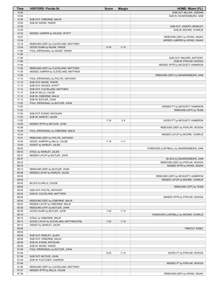| <b>Time</b>    | <b>VISITORS: Florida St.</b>                                               | <b>Score</b> | <b>Margin</b>   | HOME: Miami (FL)                        |
|----------------|----------------------------------------------------------------------------|--------------|-----------------|-----------------------------------------|
| 12:50          |                                                                            |              |                 | SUB OUT: MILLER, JORDAN                 |
| 12:50          |                                                                            |              |                 | SUB IN: WAARDENBURG, SAM                |
| 12:50          | SUB OUT: OSBORNE, MALIK                                                    |              |                 |                                         |
| 12:50          | SUB IN: NGOM, TANOR                                                        |              |                 |                                         |
| 12:39<br>12:39 |                                                                            |              |                 | SUB OUT: JOSEPH, BENSLEY                |
| 12:32          | MISSED JUMPER by WILKES, WYATT                                             |              |                 | SUB IN: MOORE, CHARLIE                  |
| 12:27          |                                                                            |              |                 | REBOUND (DEF) by WONG, ISAIAH           |
| 12:24          |                                                                            |              |                 | MISSED JUMPER by WONG, ISAIAH           |
| 12:19          | REBOUND (DEF) by CLEVELAND, MATTHEW                                        |              |                 |                                         |
| 12:04          | GOOD! DUNK by NGOM, TANOR                                                  | $6 - 16$     | $V$ 10          |                                         |
| 11:56          | FOUL (PERSONAL) by NGOM, TANOR                                             |              |                 |                                         |
| 11:56          |                                                                            |              |                 |                                         |
| 11:56          |                                                                            |              |                 | SUB OUT: WALKER, ANTHONY                |
| 11:56          |                                                                            |              |                 | SUB IN: POPLAR, WOOGA                   |
| 11:49          |                                                                            |              |                 | MISSED 3PTR by MCGUSTY, KAMERON         |
| 11:44<br>11:29 | REBOUND (DEF) by CLEVELAND, MATTHEW<br>MISSED JUMPER by CLEVELAND, MATTHEW |              |                 |                                         |
| 11:26          |                                                                            |              |                 | REBOUND (DEF) by WAARDENBURG, SAM       |
| 11:13          | FOUL (PERSONAL) by POLITE, ANTHONY                                         |              |                 |                                         |
| 11:13          | SUB OUT: NGOM, TANOR                                                       |              |                 |                                         |
| 11:13          | SUB OUT: WILKES, WYATT                                                     |              |                 |                                         |
| 11:13          | SUB OUT: CLEVELAND, MATTHEW                                                |              |                 |                                         |
| 11:13          | SUB IN: MILLS, CALEB                                                       |              |                 |                                         |
| 11:13          | SUB IN: OSBORNE, MALIK                                                     |              |                 |                                         |
| 11:13          | SUB IN: BUTLER, JOHN                                                       |              |                 |                                         |
| 11:02          | FOUL (PERSONAL) by BUTLER, JOHN                                            |              |                 |                                         |
| 11:02          |                                                                            |              |                 | MISSED FT by MCGUSTY, KAMERON           |
| 11:02<br>11:02 | SUB OUT: EVANS, RAYQUAN                                                    |              |                 | REBOUND (OFF) by TEAM                   |
| 11:02          | SUB IN: WARLEY, JALEN                                                      |              |                 |                                         |
| 11:02          |                                                                            | $7 - 16$     | V <sub>9</sub>  | GOOD! FT by MCGUSTY, KAMERON            |
| 10:40          | MISSED 3PTR by BUTLER, JOHN                                                |              |                 |                                         |
| 10:36          |                                                                            |              |                 | REBOUND (DEF) by POPLAR, WOOGA          |
| 10:30          | FOUL (PERSONAL) by OSBORNE, MALIK                                          |              |                 |                                         |
| 10:24          |                                                                            |              |                 | MISSED LAYUP by MOORE, CHARLIE          |
| 10:21          | REBOUND (DEF) by POLITE, ANTHONY                                           |              |                 |                                         |
| 10:05          | GOOD! JUMPER by MILLS, CALEB                                               | $7 - 18$     | V <sub>11</sub> |                                         |
| 10:05          | ASSIST by WARLEY, JALEN                                                    |              |                 |                                         |
| 09:53          |                                                                            |              |                 | TURNOVER (LOSTBALL) by WAARDENBURG, SAM |
| 09:53<br>09:37 | STEAL by WARLEY, JALEN                                                     |              |                 |                                         |
| 09:37          | MISSED LAYUP by BUTLER, JOHN                                               |              |                 | BLOCK by WAARDENBURG, SAM               |
| 09:33          |                                                                            |              |                 | REBOUND (DEF) by POPLAR, WOOGA          |
| 09:18          |                                                                            |              |                 | MISSED 3PTR by WONG, ISAIAH             |
| 09:13          | REBOUND (DEF) by BUTLER, JOHN                                              |              |                 |                                         |
| 09:08          | MISSED LAYUP by WARLEY, JALEN                                              |              |                 |                                         |
| 09:05          |                                                                            |              |                 | REBOUND (DEF) by MCGUSTY, KAMERON       |
| 09:02          |                                                                            |              |                 | MISSED LAYUP by MOORE, CHARLIE          |
| 09:02          | BLOCK by MILLS, CALEB                                                      |              |                 |                                         |
| 09:02          |                                                                            |              |                 | REBOUND (OFF) by TEAM                   |
| 09:02          | SUB OUT: POLITE, ANTHONY                                                   |              |                 |                                         |
| 09:02<br>08:54 | SUB IN: CLEVELAND, MATTHEW                                                 |              |                 | MISSED 3PTR by POPLAR, WOOGA            |
| 08:50          | REBOUND (DEF) by OSBORNE, MALIK                                            |              |                 |                                         |
| 08:42          | MISSED LAYUP by OSBORNE, MALIK                                             |              |                 |                                         |
| 08:38          | REBOUND (OFF) by BUTLER, JOHN                                              |              |                 |                                         |
| 08:38          | GOOD! DUNK by BUTLER, JOHN                                                 | $7 - 20$     | V <sub>13</sub> |                                         |
| 08:19          |                                                                            |              |                 | TURNOVER (LOSTBALL) by MOORE, CHARLIE   |
| 08:19          | STEAL by OSBORNE, MALIK                                                    |              |                 |                                         |
| 08:12          | GOOD! LAYUP by CLEVELAND, MATTHEW [FB]                                     | $7 - 22$     | V <sub>15</sub> |                                         |
| 08:12          | ASSIST by WARLEY, JALEN                                                    |              |                 |                                         |
| 08:09          |                                                                            |              |                 | TIMEOUT 30SEC                           |
| 08:09          |                                                                            |              |                 |                                         |
| 08:09<br>08:09 | SUB OUT: WARLEY, JALEN<br>SUB OUT: OSBORNE, MALIK                          |              |                 |                                         |
| 08:09          | SUB IN: EVANS, RAYQUAN                                                     |              |                 |                                         |
| 08:09          | SUB IN: NGOM, TANOR                                                        |              |                 |                                         |
| 07:49          | FOUL (PERSONAL) by BUTLER, JOHN                                            |              |                 |                                         |
| 07:49          |                                                                            | $8 - 22$     | $V$ 14          | GOOD! FT by POPLAR, WOOGA               |
| 07:49          | SUB OUT: BUTLER, JOHN                                                      |              |                 |                                         |
| 07:49          | SUB IN: FLETCHER, CAM'RON                                                  |              |                 |                                         |
| 07:49          |                                                                            |              |                 | MISSED FT by POPLAR, WOOGA              |
| 07:46          | REBOUND (DEF) by CLEVELAND, MATTHEW                                        |              |                 |                                         |
| 07:41          | MISSED 3PTR by MILLS, CALEB                                                |              |                 |                                         |
| 07:38          |                                                                            |              |                 | REBOUND (DEF) by WONG, ISAIAH           |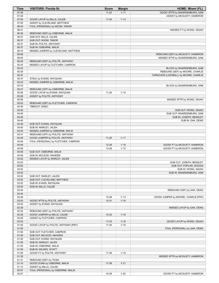| Time           | <b>VISITORS: Florida St.</b>         | <b>Score</b> | <b>Margin</b>   | HOME: Miami (FL)                      |
|----------------|--------------------------------------|--------------|-----------------|---------------------------------------|
| 07:28          |                                      | $11 - 22$    | $V$ 11          | GOOD! 3PTR by WAARDENBURG, SAM        |
| 07:28          |                                      |              |                 | ASSIST by MCGUSTY, KAMERON            |
| 07:00          | GOOD! LAYUP by MILLS, CALEB          | $11 - 24$    | V <sub>13</sub> |                                       |
| 07:00          | ASSIST by CLEVELAND, MATTHEW         |              |                 |                                       |
| 06:43          | FOUL (PERSONAL) by NGOM, TANOR       |              |                 |                                       |
| 06:41<br>06:38 | REBOUND (DEF) by OSBORNE, MALIK      |              |                 | MISSED FT by WONG, ISAIAH             |
| 06:37          | SUB OUT: MILLS, CALEB                |              |                 |                                       |
| 06:37          | SUB OUT: NGOM, TANOR                 |              |                 |                                       |
| 06:37          | SUB IN: POLITE, ANTHONY              |              |                 |                                       |
| 06:37          | SUB IN: OSBORNE, MALIK               |              |                 |                                       |
| 06:15          | MISSED JUMPER by CLEVELAND, MATTHEW  |              |                 |                                       |
| 06:06          |                                      |              |                 | REBOUND (DEF) by MCGUSTY, KAMERON     |
| 06:05          |                                      |              |                 | MISSED 3PTR by WAARDENBURG, SAM       |
| 06:02          | REBOUND (DEF) by POLITE, ANTHONY     |              |                 |                                       |
| 05:43          | MISSED LAYUP by FLETCHER, CAM'RON    |              |                 |                                       |
| 05:43          |                                      |              |                 | BLOCK by WAARDENBURG, SAM             |
| 05:39          |                                      |              |                 | REBOUND (DEF) by MOORE, CHARLIE       |
| 05:37          |                                      |              |                 | TURNOVER (LOSTBALL) by MOORE, CHARLIE |
| 05:37          | STEAL by EVANS, RAYQUAN              |              |                 |                                       |
| 05:33          | MISSED JUMPER by OSBORNE, MALIK      |              |                 |                                       |
| 05:33          |                                      |              |                 | BLOCK by WAARDENBURG, SAM             |
| 05:27          | REBOUND (OFF) by OSBORNE, MALIK      |              |                 |                                       |
| 05:26          | GOOD! LAYUP by EVANS, RAYQUAN        | $11 - 26$    | V <sub>15</sub> |                                       |
| 05:26<br>05:06 | ASSIST by POLITE, ANTHONY            |              |                 |                                       |
| 05:03          | REBOUND (DEF) by FLETCHER, CAM'RON   |              |                 | MISSED 3PTR by WONG, ISAIAH           |
| 04:40          | TIMEOUT 30SEC                        |              |                 |                                       |
| 04:40          |                                      |              |                 | SUB OUT: WONG, ISAIAH                 |
| 04:40          |                                      |              |                 | SUB OUT: WAARDENBURG, SAM             |
| 04:40          |                                      |              |                 | SUB IN: JOSEPH, BENSLEY               |
| 04:40          |                                      |              |                 | SUB IN: GAK, DENG                     |
| 04:40          | SUB OUT: EVANS, RAYQUAN              |              |                 |                                       |
| 04:40          | SUB IN: WARLEY, JALEN                |              |                 |                                       |
| 04:34          | MISSED JUMPER by OSBORNE, MALIK      |              |                 |                                       |
| 04:31          | REBOUND (OFF) by POLITE, ANTHONY     |              |                 |                                       |
| 04:29          | GOOD! JUMPER by POLITE, ANTHONY      | $11 - 28$    | V 17            |                                       |
| 04:09          | FOUL (PERSONAL) by FLETCHER, CAM'RON |              |                 |                                       |
| 04:09          |                                      | $12 - 28$    | V <sub>16</sub> | GOOD! FT by MCGUSTY, KAMERON          |
| 04:09          |                                      | 13-28        | V <sub>15</sub> | GOOD! FT by MCGUSTY, KAMERON          |
| 04:09          | SUB OUT: OSBORNE, MALIK              |              |                 |                                       |
| 04:09<br>03:52 | SUB IN: MCLEOD, NAHEEM               |              |                 |                                       |
| 03:52          | MISSED LAYUP by WARLEY, JALEN        |              |                 | SUB OUT: JOSEPH, BENSLEY              |
| 03:52          |                                      |              |                 | SUB OUT: POPLAR, WOOGA                |
| 03:52          |                                      |              |                 | SUB IN: WONG, ISAIAH                  |
| 03:52          |                                      |              |                 | SUB IN: WAARDENBURG, SAM              |
| 03:52          | SUB OUT: WARLEY, JALEN               |              |                 |                                       |
| 03:52          | SUB OUT: CLEVELAND, MATTHEW          |              |                 |                                       |
| 03:52          | SUB IN: EVANS, RAYQUAN               |              |                 |                                       |
| 03:52          | SUB IN: MILLS, CALEB                 |              |                 |                                       |
| 03:44          |                                      |              |                 | REBOUND (DEF) by GAK, DENG            |
| 03:44          |                                      |              |                 |                                       |
| 03:28          |                                      | 15-28        | V <sub>13</sub> | GOOD! JUMPER by MOORE, CHARLIE [PNT]  |
| 03:03          | GOOD! 3PTR by POLITE, ANTHONY        | $15-31$      | $V$ 16          |                                       |
| 03:03          | ASSIST by EVANS, RAYQUAN             |              |                 |                                       |
| 02:39          |                                      |              |                 | MISSED LAYUP by GAK, DENG             |
| 02:35          | REBOUND (DEF) by POLITE, ANTHONY     |              |                 |                                       |
| 02:26<br>02:26 | GOOD! JUMPER by MILLS, CALEB         | 15-33        | V <sub>18</sub> |                                       |
| 02:03          | ASSIST by FLETCHER, CAM'RON          | $17 - 33$    | $V$ 16          | GOOD! LAYUP by WONG, ISAIAH           |
| 01:50          | GOOD! LAYUP by POLITE, ANTHONY [PNT] | 17-35        | V <sub>18</sub> |                                       |
| 01:50          |                                      |              |                 | FOUL (PERSONAL) by GAK, DENG          |
| 01:50          | SUB OUT: FLETCHER, CAM'RON           |              |                 |                                       |
| 01:50          | SUB OUT: MCLEOD, NAHEEM              |              |                 |                                       |
| 01:50          | SUB OUT: EVANS, RAYQUAN              |              |                 |                                       |
| 01:50          | SUB IN: WARLEY, JALEN                |              |                 |                                       |
| 01:50          | SUB IN: OSBORNE, MALIK               |              |                 |                                       |
| 01:50          | SUB IN: WILKES, WYATT                |              |                 |                                       |
| 01:50          | GOOD! FT by POLITE, ANTHONY          | 17-36        | V 19            |                                       |
| 01:32          |                                      |              |                 | MISSED 3PTR by MCGUSTY, KAMERON       |
| 01:31          | REBOUND (DEF) by TEAM                |              |                 |                                       |
| 01:14          | GOOD! DUNK by OSBORNE, MALIK         | 17-38        | V <sub>21</sub> |                                       |
| 01:14          | ASSIST by MILLS, CALEB               |              |                 |                                       |
| 00:57          | FOUL (PERSONAL) by OSBORNE, MALIK    |              |                 |                                       |
| 00:57          |                                      | 18-38        | V <sub>20</sub> | GOOD! FT by MCGUSTY, KAMERON          |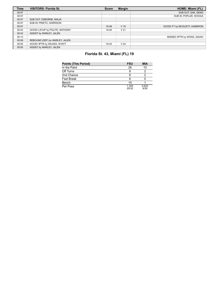| <b>Time</b> | <b>VISITORS: Florida St.</b>   | <b>Score</b> | <b>Margin</b>   | HOME: Miami (FL)             |
|-------------|--------------------------------|--------------|-----------------|------------------------------|
| 00:57       |                                |              |                 | SUB OUT: GAK, DENG           |
| 00:57       |                                |              |                 | SUB IN: POPLAR, WOOGA        |
| 00:57       | SUB OUT: OSBORNE, MALIK        |              |                 |                              |
| 00:57       | SUB IN: PRIETO, HARRISON       |              |                 |                              |
| 00:57       |                                | 19-38        | V <sub>19</sub> | GOOD! FT by MCGUSTY, KAMERON |
| 00:43       | GOOD! LAYUP by POLITE, ANTHONY | 19-40        | V <sub>21</sub> |                              |
| 00:43       | ASSIST by WARLEY, JALEN        |              |                 |                              |
| 00:13       |                                |              |                 | MISSED 3PTR by WONG, ISAIAH  |
| 00:09       | REBOUND (DEF) by WARLEY, JALEN |              |                 |                              |
| 00:00       | GOOD! 3PTR by WILKES, WYATT    | 19-43        | V <sub>24</sub> |                              |
| 00:00       | ASSIST by WARLEY, JALEN        |              |                 |                              |

# **Florida St. 43, Miami (FL) 19**

| <b>Points (This Period)</b> | <b>FSU</b>     | <b>MIA</b>    |
|-----------------------------|----------------|---------------|
| In the Paint                | 26             | 10            |
| Off Turns                   |                |               |
| 2nd Chance                  |                |               |
| <b>Fast Break</b>           |                |               |
| Bench                       | 15             |               |
| Per Poss                    | 1.344<br>20/32 | 0.633<br>9/30 |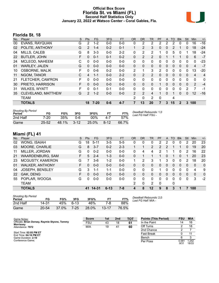### **Official Box Score Florida St. vs Miami (FL) Second Half Statistics Only January 22, 2022 at Watsco Center - Coral Gables, Fla.**



# **Florida St. 18**

| No. | Player                | S | <b>Pts</b>     | FG.      | 3FG     | <b>FT</b> | <b>OR</b>      | D <sub>R</sub> | TR             | <b>PF</b>     | A | TO       | <b>B</b> lk  | Stl      | <b>Min</b> | $+/-$          |
|-----|-----------------------|---|----------------|----------|---------|-----------|----------------|----------------|----------------|---------------|---|----------|--------------|----------|------------|----------------|
| 00  | <b>EVANS, RAYQUAN</b> | G | $\overline{2}$ | $1 - 2$  | $0 - 0$ | $0 - 0$   | 0              | 2              | 2              | 2             | 2 | 2        | $\Omega$     | 0        | 16         | $-16$          |
| 02  | POLITE, ANTHONY       | G | $\overline{2}$ | $1 - 4$  | $0 - 2$ | $0 - 1$   | 1              | 2              | 3              | $\Omega$      | 0 | 2        |              | 0        | 18         | -24            |
| 04  | <b>MILLS, CALEB</b>   | G | 8              | $3-3$    | $0 - 0$ | $2 - 2$   | 0              | 2              | $\overline{2}$ | 1             | 0 | 5        | $\Omega$     | 1        | 18         | -24            |
| 22  | <b>BUTLER, JOHN</b>   | F | $\Omega$       | $0 - 1$  | $0 - 1$ | $0 - 2$   | 0              | 2              | 2              | $\Omega$      |   |          |              | 0        | 6          | $-7$           |
| 24  | MCLEOD, NAHEEM        | С | 0              | $0 - 0$  | $0 - 0$ | $0 - 0$   | 0              | 0              | $\mathbf{0}$   | $\Omega$      | 0 | 0        | $\Omega$     | 0        | 0          | -23            |
| 01  | <b>WARLEY, JALEN</b>  | G | $\Omega$       | $0 - 0$  | $0 - 0$ | $0 - 0$   | 0              | 0              | $\Omega$       | $\Omega$      | 0 | $\Omega$ | $\Omega$     | 0        | 4          | $-7$           |
| 10  | <b>OSBORNE, MALIK</b> | F | 0              | $0 - 6$  | $0 - 2$ | $0 - 0$   | $\overline{2}$ | 1              | 3              | $\mathcal{P}$ | 0 | 0        | 0            | $\Omega$ | 13         | $-20$          |
| 11  | NGOM, TANOR           | C | 4              | $1 - 1$  | $0 - 0$ | $2 - 2$   | 0              | 2              | $\overline{2}$ | $\Omega$      | 0 | $\Omega$ | 0            | $\Omega$ | 4          | $\overline{4}$ |
| 21  | FLETCHER, CAM'RON     | F | 0              | $0 - 0$  | $0 - 0$ | $0 - 0$   | 0              | $\Omega$       | $\Omega$       | $\Omega$      | 0 | $\Omega$ | 0            | $\Omega$ | $\Omega$   | 0              |
| 30  | PRIETO, HARRISON      | F | $\Omega$       | $0 - 0$  | $0 - 0$ | $0 - 0$   | $\Omega$       | $\Omega$       | $\Omega$       | 1             | 0 | $\Omega$ | 0            | $\Omega$ | 2          | $-4$           |
| 31  | <b>WILKES, WYATT</b>  | F | 0              | $0 - 1$  | $0 - 1$ | $0 - 0$   | 0              | $\Omega$       | $\Omega$       | 0             | 0 | $\Omega$ | 0            | 2        | 7          | -1             |
| 35  | CLEVELAND, MATTHEW    | G | $\overline{2}$ | $1 - 2$  | $0 - 0$ | $0 - 0$   | 2              | 2              | 4              | 1             | 0 |          | $\Omega$     | $\Omega$ | 12         | $-16$          |
|     | <b>TEAM</b>           |   |                |          |         |           | 2              | 0              | 2              | $\Omega$      |   | 4        |              |          |            |                |
|     | <b>TOTALS</b>         |   | 18             | $7 - 20$ | $0 - 6$ | 4-7       |                | 13             | 20             |               | 3 | 15       | $\mathbf{2}$ | 3        | 100        |                |

| <b>Shooting By Period</b><br>Period | FG        | FG%   | 3FG      | 3FG%   |          | FT%   | Deadball Rebounds: 1,0<br>Last FG Half: FSU - |
|-------------------------------------|-----------|-------|----------|--------|----------|-------|-----------------------------------------------|
| 2nd Half                            | 7-20      | 35%   | 0-6      | $00\%$ | $4 - 7$  | 57%   |                                               |
| Game                                | $25 - 52$ | 48.1% | $3 - 12$ | 25.0%  | $8 - 12$ | 66.7% |                                               |

# **Miami (FL) 41**

|     | ----- 1- -- 1           |    |            |           |          |           |           |           |                |    |              |              |              |              |              |              |
|-----|-------------------------|----|------------|-----------|----------|-----------|-----------|-----------|----------------|----|--------------|--------------|--------------|--------------|--------------|--------------|
| No. | Player                  | S  | <b>Pts</b> | <b>FG</b> | 3FG      | <b>FT</b> | <b>OR</b> | <b>DR</b> | <b>TR</b>      | PF | A            | TO           | <b>Blk</b>   | Stl          | Min          | $+/-$        |
| 02  | <b>WONG, ISAIAH</b>     | G  | 18         | $5 - 11$  | 3-5      | $5 - 5$   | 0         | 0         | 0              | 2  | 2            | 0            | 0            | 2            | 20           | 23           |
| 03  | MOORE, CHARLIE          | G  | 8          | $3 - 7$   | $0 - 2$  | $2 - 3$   |           | 1         | $\overline{2}$ | 2  | 2            |              | 1            | $\Omega$     | 19           | 20           |
| 11  | MILLER, JORDAN          | G  | 0          | $0 - 2$   | $0 - 0$  | $0 - 0$   | 0         | 4         | 4              | າ  |              |              | 0            | 2            | 16           | 22           |
| 21  | WAARDENBURG, SAM        | F. | 5          | $2 - 4$   | $1 - 3$  | $0-0$     | 0         | 1         |                |    | 0            | 1            | 0            | 1            | 20           | 23           |
| 23  | <b>MCGUSTY, KAMERON</b> | G  | 7          | $3-6$     | $1-2$    | $0 - 0$   | 1         | 2         | 3              | 1  | 3            | 0            | $\mathbf 0$  | 2            | 18           | 20           |
| 01  | <b>WALKER, ANTHONY</b>  | F. | $\Omega$   | $0 - 0$   | $0 - 0$  | $0 - 0$   | 0         | $\Omega$  | $\mathbf{0}$   | 0  | $\mathbf{0}$ | $\mathbf{0}$ | $\mathbf{0}$ | $\mathbf{0}$ | $\mathbf{0}$ | $\mathbf{0}$ |
| 04  | <b>JOSEPH, BENSLEY</b>  | G  | 3          | 1-1       | $1 - 1$  | $0 - 0$   | 0         | 0         | 0              | 1  | 0            | 0            | 0            | 0            | 4            | 9            |
| 22  | GAK, DENG               | F. | $\Omega$   | $0 - 0$   | $0 - 0$  | $0 - 0$   | 0         | $\Omega$  | $\Omega$       | 0  | 0            | 0            | $\mathbf{0}$ | 0            | $\Omega$     | 0            |
| 55  | POPLAR, WOOGA           | G  | 0          | $0 - 0$   | $0 - 0$  | $0 - 0$   | 0         | $\Omega$  | 0              | 0  | 0            | 0            | $\Omega$     | 0            | 3            | $-2$         |
|     | <b>TEAM</b>             |    |            |           |          |           | 2         | 0         | $\overline{2}$ | 0  |              | 0            |              |              |              |              |
|     | <b>TOTALS</b>           |    | 41         | 14-31     | $6 - 13$ | $7 - 8$   | 4         | 8         | $12 \,$        | 9  | 8            | 3            |              |              | 100          |              |
|     |                         |    |            |           |          |           |           |           |                |    |              |              |              |              |              |              |

| <b>Shooting By Period</b><br>Period | FG        | FG%   | 3FG      | 3FG%  | FT        | FT%   |
|-------------------------------------|-----------|-------|----------|-------|-----------|-------|
| 2nd Half                            | 14-31     | 45%   | $6-13$   | 46%   | 7-8       | 88%   |
| Game                                | $20 - 54$ | 37.0% | $7 - 25$ | 28.0% | $13 - 17$ | 76.5% |

*Deadball Rebounds:* 2,0 *Last FG Half:* MIA -

| Game Notes:                                      | <b>Score</b> | 1st | 2nd | <b>TOT</b> | <b>Points (This Period)</b> | <b>FSU</b>             | <b>MIA</b>     |
|--------------------------------------------------|--------------|-----|-----|------------|-----------------------------|------------------------|----------------|
| Officials: Brian Dorsey, Raymie Styons, Tommy    | <b>FSU</b>   | 43  | 18  | 61         | In the Paint                | 14                     | 16             |
| Morrissey<br>Attendance: 7972                    | MIA          | 19  | 41  | 60         | Off Turns                   |                        | 18             |
|                                                  |              |     |     |            | 2nd Chance                  |                        |                |
| Start Time: 02:05 PM ET<br>End Time: 04:16 PM ET |              |     |     |            | <b>Fast Break</b>           |                        |                |
| Game Duration: 2:10                              |              |     |     |            | Bench                       |                        |                |
| Conference Game:                                 |              |     |     |            | Per Poss                    | $0.58^{\circ}$<br>9/31 | 1.242<br>18/33 |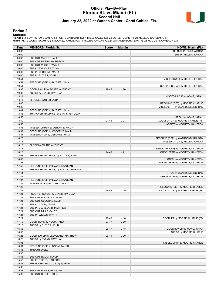### **Official Play-By-Play Florida St. vs Miami (FL) Second Half January 22, 2022 at Watsco Center - Coral Gables, Fla.**



#### **Period 2**

<mark>Startersː</mark><br>Florida St.: 0 EVANS,RAYQUAN (G); 2 POLITE,ANTHONY (G); 4 MILLS,CALEB (G); 22 BUTLER,JOHN (F); 24 MCLEOD,NAHEEM (C);<br>**Miami (FL)**: 2 WONG,ISAIAH (G); 3 MOORE,CHARLIE (G); 11 MILLER,JORDAN (G); 21 WAARDENBURG,SA

| Time  | <b>VISITORS: Florida St.</b>          | <b>Score</b> | <b>Margin</b>   | <b>HOME: Miami (FL)</b>            |
|-------|---------------------------------------|--------------|-----------------|------------------------------------|
| 20:00 |                                       |              |                 | SUB OUT: POPLAR, WOOGA             |
| 20:00 |                                       |              |                 | SUB IN: MILLER, JORDAN             |
| 20:00 | SUB OUT: WARLEY, JALEN                |              |                 |                                    |
| 20:00 | SUB OUT: PRIETO, HARRISON             |              |                 |                                    |
| 20:00 | SUB OUT: WILKES, WYATT                |              |                 |                                    |
| 20:00 | SUB IN: EVANS, RAYQUAN                |              |                 |                                    |
| 20:00 | SUB IN: OSBORNE, MALIK                |              |                 |                                    |
| 20:00 | SUB IN: BUTLER, JOHN                  |              |                 |                                    |
| 19:51 |                                       |              |                 | MISSED DUNK by MILLER, JORDAN      |
| 19:51 | REBOUND (DEF) by BUTLER, JOHN         |              |                 |                                    |
| 19:51 |                                       |              |                 | FOUL (PERSONAL) by MILLER, JORDAN  |
| 19:33 | GOOD! LAYUP by POLITE, ANTHONY        | 19-45        | V <sub>26</sub> |                                    |
| 19:33 | ASSIST by EVANS, RAYQUAN              |              |                 |                                    |
| 19:11 |                                       |              |                 | MISSED LAYUP by WONG, ISAIAH       |
| 19:11 | BLOCK by BUTLER, JOHN                 |              |                 |                                    |
| 19:08 |                                       |              |                 | REBOUND (OFF) by MOORE, CHARLIE    |
| 19:06 |                                       |              |                 | MISSED 3PTR by WAARDENBURG, SAM    |
| 19:04 | REBOUND (DEF) by BUTLER, JOHN         |              |                 |                                    |
| 18:58 | TURNOVER (BADPASS) by EVANS, RAYQUAN  |              |                 |                                    |
| 18:58 |                                       |              |                 | STEAL by WONG, ISAIAH              |
| 18:50 |                                       | 21-45        | V <sub>24</sub> | GOOD! LAYUP by MOORE, CHARLIE [FB] |
| 18:50 |                                       |              |                 | ASSIST by MCGUSTY, KAMERON         |
| 18:35 | MISSED JUMPER by OSBORNE, MALIK       |              |                 |                                    |
| 18:32 | REBOUND (OFF) by OSBORNE, MALIK       |              |                 |                                    |
| 18:31 | MISSED LAYUP by OSBORNE, MALIK        |              |                 |                                    |
| 18:28 |                                       |              |                 | REBOUND (DEF) by WAARDENBURG, SAM  |
| 18:18 |                                       |              |                 | MISSED LAYUP by MILLER, JORDAN     |
| 18:18 | BLOCK by POLITE, ANTHONY              |              |                 |                                    |
| 18:14 |                                       |              |                 | REBOUND (OFF) by MCGUSTY, KAMERON  |
| 18:13 |                                       | 24-45        | V <sub>21</sub> | GOOD! 3PTR by MCGUSTY, KAMERON     |
| 18:03 | TURNOVER (BADPASS) by BUTLER, JOHN    |              |                 |                                    |
| 18:03 |                                       |              |                 | STEAL by MCGUSTY, KAMERON          |
| 17:58 |                                       |              |                 | MISSED 3PTR by MCGUSTY, KAMERON    |
| 17:56 | REBOUND (DEF) by EVANS, RAYQUAN       |              |                 |                                    |
| 17:44 | TURNOVER (BADPASS) by POLITE, ANTHONY |              |                 |                                    |
| 17:44 |                                       |              |                 | STEAL by WAARDENBURG, SAM          |
| 17:41 |                                       |              |                 | MISSED LAYUP by MCGUSTY, KAMERON   |
| 17:37 | REBOUND (DEF) by EVANS, RAYQUAN       |              |                 |                                    |
| 17:27 | MISSED 3PTR by BUTLER, JOHN           |              |                 |                                    |
| 17:23 |                                       |              |                 | REBOUND (DEF) by MOORE, CHARLIE    |
| 17:21 |                                       | 26-45        | $V$ 19          | GOOD! LAYUP by MOORE, CHARLIE [FB] |
| 17:21 | FOUL (PERSONAL) by EVANS, RAYQUAN     |              |                 |                                    |
| 17:21 | SUB OUT: POLITE, ANTHONY              |              |                 |                                    |
| 17:21 | SUB OUT: OSBORNE, MALIK               |              |                 |                                    |
| 17:21 | SUB IN: NGOM, TANOR                   |              |                 |                                    |
| 17:21 | SUB IN: CLEVELAND, MATTHEW            |              |                 |                                    |
| 17:21 | SUB OUT: MILLS, CALEB                 |              |                 |                                    |
| 17:21 | SUB IN: WILKES, WYATT                 |              |                 |                                    |
| 17:21 |                                       | 27-45        | V <sub>18</sub> | GOOD! FT by MOORE, CHARLIE [FB]    |
| 17:10 | GOOD! DUNK by NGOM, TANOR             | 27-47        | V <sub>20</sub> |                                    |
| 17:10 | ASSIST by BUTLER, JOHN                |              |                 |                                    |
| 16:58 |                                       | 29-47        | $V$ 18          | GOOD! LAYUP by WONG, ISAIAH        |
| 16:58 |                                       |              |                 |                                    |
|       |                                       |              |                 | ASSIST by MOORE, CHARLIE           |
| 16:26 | GOOD! LAYUP by CLEVELAND, MATTHEW     | 29-49        | V <sub>20</sub> |                                    |
| 16:26 | ASSIST by EVANS, RAYQUAN              |              |                 |                                    |
| 16:05 |                                       |              |                 | MISSED 3PTR by MOORE, CHARLIE      |
| 16:01 | REBOUND (DEF) by NGOM, TANOR          |              |                 |                                    |
| 15:53 | TIMEOUT 30SEC                         |              |                 |                                    |
| 15:53 |                                       |              |                 |                                    |
| 15:53 | SUB OUT: NGOM, TANOR                  |              |                 |                                    |
| 15:53 | SUB IN: PRIETO, HARRISON              |              |                 |                                    |
| 15:32 | TURNOVER (SHOTCLOCK) by TEAM          |              |                 |                                    |
| 15:32 |                                       |              |                 |                                    |
| 15:32 | SUB OUT: EVANS, RAYQUAN               |              |                 |                                    |
| 15:32 | SUB OUT: BUTLER, JOHN                 |              |                 |                                    |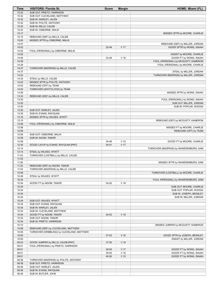| Time           | <b>VISITORS: Florida St.</b>                     | <b>Score</b> | <b>Margin</b>   | HOME: Miami (FL)                                              |
|----------------|--------------------------------------------------|--------------|-----------------|---------------------------------------------------------------|
| 15:32          | SUB OUT: PRIETO, HARRISON                        |              |                 |                                                               |
| 15:32          | SUB OUT: CLEVELAND, MATTHEW                      |              |                 |                                                               |
| 15:32          | SUB IN: WARLEY, JALEN                            |              |                 |                                                               |
| 15:32          | SUB IN: POLITE, ANTHONY                          |              |                 |                                                               |
| 15:32          | SUB IN: MILLS, CALEB                             |              |                 |                                                               |
| 15:32          | SUB IN: OSBORNE, MALIK                           |              |                 |                                                               |
| 15:17          |                                                  |              |                 | MISSED 3PTR by MOORE, CHARLIE                                 |
| 15:15          | REBOUND (DEF) by MILLS, CALEB                    |              |                 |                                                               |
| 15:00<br>14:57 | MISSED 3PTR by OSBORNE, MALIK                    |              |                 |                                                               |
| 14:52          |                                                  | 32-49        | V 17            | REBOUND (DEF) by MILLER, JORDAN<br>GOOD! 3PTR by WONG, ISAIAH |
| 14:52          | FOUL (PERSONAL) by OSBORNE, MALIK                |              |                 |                                                               |
| 14:52          |                                                  |              |                 | ASSIST by MOORE, CHARLIE                                      |
| 14:46          |                                                  | 33-49        | V <sub>16</sub> | GOOD! FT by WONG, ISAIAH                                      |
| 14:39          |                                                  |              |                 | FOUL (PERSONAL) by MCGUSTY, KAMERON                           |
| 14:39          |                                                  |              |                 | FOUL (PERSONAL) by MOORE, CHARLIE                             |
| 14:37          | TURNOVER (BADPASS) by MILLS, CALEB               |              |                 |                                                               |
| 14:37          |                                                  |              |                 | STEAL by MILLER, JORDAN                                       |
| 14:33          |                                                  |              |                 | TURNOVER (BADPASS) by MILLER, JORDAN                          |
| 14:33          | STEAL by MILLS, CALEB                            |              |                 |                                                               |
| 14:02          | MISSED 3PTR by POLITE, ANTHONY                   |              |                 |                                                               |
| 14:02          | REBOUND (OFF) by TEAM                            |              |                 |                                                               |
| 14:02          | TURNOVER (SHOTCLOCK) by TEAM                     |              |                 |                                                               |
| 13:38          |                                                  |              |                 | MISSED 3PTR by WONG, ISAIAH                                   |
| 13:33          | REBOUND (DEF) by MILLS, CALEB                    |              |                 |                                                               |
| 13:30          |                                                  |              |                 | FOUL (PERSONAL) by WONG, ISAIAH                               |
| 13:30          |                                                  |              |                 | SUB OUT: MILLER, JORDAN                                       |
| 13:30<br>13:30 |                                                  |              |                 | SUB IN: POPLAR, WOOGA                                         |
| 13:30          | SUB OUT: WARLEY, JALEN<br>SUB IN: EVANS, RAYQUAN |              |                 |                                                               |
| 13:18          | MISSED 3PTR by WILKES, WYATT                     |              |                 |                                                               |
| 13:15          |                                                  |              |                 | REBOUND (DEF) by MCGUSTY, KAMERON                             |
| 12:58          | FOUL (PERSONAL) by OSBORNE, MALIK                |              |                 |                                                               |
| 12:58          |                                                  |              |                 | MISSED FT by MOORE, CHARLIE                                   |
| 12:58          |                                                  |              |                 | REBOUND (OFF) by TEAM                                         |
| 12:58          | SUB OUT: OSBORNE, MALIK                          |              |                 |                                                               |
| 12:58          | SUB IN: NGOM, TANOR                              |              |                 |                                                               |
| 12:58          |                                                  | 34-49        | V <sub>15</sub> | GOOD! FT by MOORE, CHARLIE                                    |
| 12:30          | GOOD! LAYUP by EVANS, RAYQUAN [PNT]              | $34 - 51$    | V 17            |                                                               |
| 12:14          |                                                  |              |                 | TURNOVER (BADPASS) by WAARDENBURG, SAM                        |
| 12:14          | STEAL by WILKES, WYATT                           |              |                 |                                                               |
| 11:53          | TURNOVER (LOSTBALL) by MILLS, CALEB              |              |                 |                                                               |
| 11:53          |                                                  |              |                 |                                                               |
| 11:26          |                                                  |              |                 | MISSED 3PTR by WAARDENBURG, SAM                               |
| 11:23          | REBOUND (DEF) by NGOM, TANOR                     |              |                 |                                                               |
| 11:03          | TURNOVER (BADPASS) by MILLS, CALEB               |              |                 |                                                               |
| 10:48          |                                                  |              |                 | TURNOVER (LOSTBALL) by MOORE, CHARLIE                         |
| 10:48<br>10:34 | STEAL by WILKES, WYATT                           |              |                 | FOUL (PERSONAL) by WAARDENBURG, SAM                           |
| 10:34          | GOOD! FT by NGOM, TANOR                          | 34-52        | V <sub>18</sub> |                                                               |
| 10:34          |                                                  |              |                 | SUB OUT: MOORE, CHARLIE                                       |
| 10:34          |                                                  |              |                 | SUB OUT: POPLAR, WOOGA                                        |
| 10:34          |                                                  |              |                 | SUB IN: JOSEPH, BENSLEY                                       |
| 10:34          |                                                  |              |                 | SUB IN: MILLER, JORDAN                                        |
| 10:34          | SUB OUT: WILKES, WYATT                           |              |                 |                                                               |
| 10:34          | SUB OUT: EVANS, RAYQUAN                          |              |                 |                                                               |
| 10:34          | SUB IN: WARLEY, JALEN                            |              |                 |                                                               |
| 10:34          | SUB IN: CLEVELAND, MATTHEW                       |              |                 |                                                               |
| 10:34          | GOOD! FT by NGOM, TANOR                          | 34-53        | V 19            |                                                               |
| 10:34          | SUB OUT: NGOM, TANOR                             |              |                 |                                                               |
| 10:34          | SUB IN: PRIETO, HARRISON                         |              |                 |                                                               |
| 10:10          |                                                  |              |                 | MISSED JUMPER by MCGUSTY, KAMERON                             |
| 10:09          | REBOUND (DEF) by CLEVELAND, MATTHEW              |              |                 |                                                               |
| 10:09          | TURNOVER (DRIBBLING) by CLEVELAND, MATTHEW       |              |                 |                                                               |
| 10:00          |                                                  | 37-53        | V <sub>16</sub> | GOOD! 3PTR by JOSEPH, BENSLEY                                 |
| 10:00          |                                                  |              |                 | ASSIST by MILLER, JORDAN                                      |
| 09:23          | GOOD! JUMPER by MILLS, CALEB [PNT]               | 37-55        | V <sub>18</sub> |                                                               |
| 09:01<br>09:01 | FOUL (PERSONAL) by PRIETO, HARRISON              | 38-55        | V 17            | GOOD! FT by WONG, ISAIAH                                      |
| 09:01          |                                                  | 39-55        | $V$ 16          | GOOD! FT by WONG, ISAIAH                                      |
| 09:01          |                                                  | 40-55        | V <sub>15</sub> | GOOD! FT by WONG, ISAIAH                                      |
| 08:38          | TURNOVER (BADPASS) by POLITE, ANTHONY            |              |                 |                                                               |
| 08:38          | SUB OUT: PRIETO, HARRISON                        |              |                 |                                                               |
| 08:38          | SUB OUT: WARLEY, JALEN                           |              |                 |                                                               |
| 08:38          | SUB IN: EVANS, RAYQUAN                           |              |                 |                                                               |
| 08:38          | SUB IN: BUTLER, JOHN                             |              |                 |                                                               |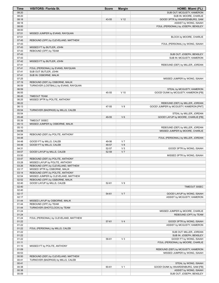| SUB OUT: MCGUSTY, KAMERON<br>08:20<br>SUB IN: MOORE, CHARLIE<br>08:20<br>08:18<br>43-55<br>V <sub>12</sub><br>GOOD! 3PTR by WAARDENBURG, SAM<br>08:18<br>ASSIST by WONG, ISAIAH<br>08:00<br>FOUL (PERSONAL) by JOSEPH, BENSLEY<br>08:00<br>07:51<br>MISSED JUMPER by EVANS, RAYQUAN<br>07:51<br>BLOCK by MOORE, CHARLIE<br>07:45<br>REBOUND (OFF) by CLEVELAND, MATTHEW<br>07:43<br>FOUL (PERSONAL) by WONG, ISAIAH<br>07:43<br>MISSED FT by BUTLER, JOHN<br>07:43<br>REBOUND (OFF) by TEAM<br>07:43<br>SUB OUT: JOSEPH, BENSLEY<br>07:43<br>SUB IN: MCGUSTY, KAMERON<br>07:42<br>MISSED FT by BUTLER, JOHN<br>07:41<br>REBOUND (DEF) by MILLER, JORDAN<br>07:41<br>FOUL (PERSONAL) by EVANS, RAYQUAN<br>07:41<br>SUB OUT: BUTLER, JOHN<br>07:41<br>SUB IN: OSBORNE, MALIK<br>07:25<br>MISSED JUMPER by WONG, ISAIAH<br>07:19<br>REBOUND (DEF) by OSBORNE, MALIK<br>06:59<br>TURNOVER (LOSTBALL) by EVANS, RAYQUAN<br>06:59<br>STEAL by MCGUSTY, KAMERON<br>$V$ 10<br>GOOD! DUNK by MCGUSTY, KAMERON [FB]<br>06:55<br>45-55<br>06:45<br><b>TIMEOUT TEAM</b><br>06:25<br>MISSED 3PTR by POLITE, ANTHONY<br>06:22<br>REBOUND (DEF) by MILLER, JORDAN<br>47-55<br>V8<br>06:13<br>GOOD! JUMPER by MCGUSTY, KAMERON [PNT]<br>05:54<br>TURNOVER (BADPASS) by MILLS, CALEB<br>05:54<br>STEAL by MILLER, JORDAN<br>$V_6$<br>05:48<br>49-55<br>GOOD! LAYUP by MOORE, CHARLIE [FB]<br>TIMEOUT 30SEC<br>05:39<br>MISSED JUMPER by OSBORNE, MALIK<br>05:13<br>05:10<br>REBOUND (DEF) by MILLER, JORDAN<br>04:56<br>MISSED JUMPER by MOORE, CHARLIE<br>04:54<br>REBOUND (DEF) by POLITE, ANTHONY<br>FOUL (PERSONAL) by MILLER, JORDAN<br>04:48<br>04:48<br>V <sub>7</sub><br>49-56<br>GOOD! FT by MILLS, CALEB<br>V8<br>04:48<br>GOOD! FT by MILLS, CALEB<br>49-57<br>52-57<br>V <sub>5</sub><br>04:31<br>GOOD! 3PTR by WONG, ISAIAH<br>V <sub>7</sub><br>04:07<br>GOOD! LAYUP by MILLS, CALEB<br>52-59<br>03:50<br>MISSED 3PTR by WONG, ISAIAH<br>03:47<br>REBOUND (DEF) by POLITE, ANTHONY<br>03:28<br>MISSED LAYUP by POLITE, ANTHONY<br>REBOUND (OFF) by CLEVELAND, MATTHEW<br>03:26<br>MISSED 3PTR by OSBORNE, MALIK<br>03:17<br>03:14<br>REBOUND (OFF) by POLITE, ANTHONY<br>02:54<br>MISSED JUMPER by CLEVELAND, MATTHEW<br>02:52<br>REBOUND (OFF) by OSBORNE, MALIK<br>V <sub>9</sub><br>02:40<br>GOOD! LAYUP by MILLS, CALEB<br>52-61<br>02:40<br>TIMEOUT 30SEC<br>02:40<br>V <sub>7</sub><br>02:17<br>54-61<br>GOOD! LAYUP by WONG, ISAIAH<br>02:17<br>ASSIST by MCGUSTY, KAMERON<br>01:44<br>MISSED LAYUP by OSBORNE, MALIK<br>01:44<br>REBOUND (OFF) by TEAM<br>01:44<br>TURNOVER (SHOTCLOCK) by TEAM<br>01:24<br>MISSED JUMPER by MOORE, CHARLIE<br>01:24<br>REBOUND (OFF) by TEAM<br>01:24<br>FOUL (PERSONAL) by CLEVELAND, MATTHEW<br>01:22<br>V <sub>4</sub><br>57-61<br>GOOD! 3PTR by WONG, ISAIAH<br>01:22<br>ASSIST by MCGUSTY, KAMERON<br>01:22<br>FOUL (PERSONAL) by MILLS, CALEB<br>01:22<br>SUB OUT: MILLER, JORDAN<br>01:22<br>SUB IN: JOSEPH, BENSLEY<br>01:22<br>V <sub>3</sub><br>GOOD! FT by WONG, ISAIAH<br>58-61<br>01:11<br>FOUL (PERSONAL) by MOORE, CHARLIE<br>01:10<br>MISSED FT by POLITE, ANTHONY<br>01:09<br>REBOUND (DEF) by MCGUSTY, KAMERON<br>00:53<br>MISSED JUMPER by WONG, ISAIAH<br>00:50<br>REBOUND (DEF) by CLEVELAND, MATTHEW<br>00:41<br>TURNOVER (BADPASS) by MILLS, CALEB<br>00:41<br>STEAL by WONG, ISAIAH<br>00:38<br>GOOD! DUNK by WAARDENBURG, SAM [FB]<br>V <sub>1</sub><br>60-61<br>00:38<br>ASSIST by WONG, ISAIAH<br>00:09<br>SUB OUT: JOSEPH, BENSLEY | Time | <b>VISITORS: Florida St.</b> | <b>Score</b> | <b>Margin</b> | <b>HOME: Miami (FL)</b> |
|------------------------------------------------------------------------------------------------------------------------------------------------------------------------------------------------------------------------------------------------------------------------------------------------------------------------------------------------------------------------------------------------------------------------------------------------------------------------------------------------------------------------------------------------------------------------------------------------------------------------------------------------------------------------------------------------------------------------------------------------------------------------------------------------------------------------------------------------------------------------------------------------------------------------------------------------------------------------------------------------------------------------------------------------------------------------------------------------------------------------------------------------------------------------------------------------------------------------------------------------------------------------------------------------------------------------------------------------------------------------------------------------------------------------------------------------------------------------------------------------------------------------------------------------------------------------------------------------------------------------------------------------------------------------------------------------------------------------------------------------------------------------------------------------------------------------------------------------------------------------------------------------------------------------------------------------------------------------------------------------------------------------------------------------------------------------------------------------------------------------------------------------------------------------------------------------------------------------------------------------------------------------------------------------------------------------------------------------------------------------------------------------------------------------------------------------------------------------------------------------------------------------------------------------------------------------------------------------------------------------------------------------------------------------------------------------------------------------------------------------------------------------------------------------------------------------------------------------------------------------------------------------------------------------------------------------------------------------------------------------------------------------------------------------------------------------------------------------------------------------------------------------------------------------------------------------------------------------------------------------------------------------------------------------------------------------------------------------------------------------------------------------------------------------------------------------------------------------------------------------------|------|------------------------------|--------------|---------------|-------------------------|
|                                                                                                                                                                                                                                                                                                                                                                                                                                                                                                                                                                                                                                                                                                                                                                                                                                                                                                                                                                                                                                                                                                                                                                                                                                                                                                                                                                                                                                                                                                                                                                                                                                                                                                                                                                                                                                                                                                                                                                                                                                                                                                                                                                                                                                                                                                                                                                                                                                                                                                                                                                                                                                                                                                                                                                                                                                                                                                                                                                                                                                                                                                                                                                                                                                                                                                                                                                                                                                                                                                      |      |                              |              |               |                         |
|                                                                                                                                                                                                                                                                                                                                                                                                                                                                                                                                                                                                                                                                                                                                                                                                                                                                                                                                                                                                                                                                                                                                                                                                                                                                                                                                                                                                                                                                                                                                                                                                                                                                                                                                                                                                                                                                                                                                                                                                                                                                                                                                                                                                                                                                                                                                                                                                                                                                                                                                                                                                                                                                                                                                                                                                                                                                                                                                                                                                                                                                                                                                                                                                                                                                                                                                                                                                                                                                                                      |      |                              |              |               |                         |
|                                                                                                                                                                                                                                                                                                                                                                                                                                                                                                                                                                                                                                                                                                                                                                                                                                                                                                                                                                                                                                                                                                                                                                                                                                                                                                                                                                                                                                                                                                                                                                                                                                                                                                                                                                                                                                                                                                                                                                                                                                                                                                                                                                                                                                                                                                                                                                                                                                                                                                                                                                                                                                                                                                                                                                                                                                                                                                                                                                                                                                                                                                                                                                                                                                                                                                                                                                                                                                                                                                      |      |                              |              |               |                         |
|                                                                                                                                                                                                                                                                                                                                                                                                                                                                                                                                                                                                                                                                                                                                                                                                                                                                                                                                                                                                                                                                                                                                                                                                                                                                                                                                                                                                                                                                                                                                                                                                                                                                                                                                                                                                                                                                                                                                                                                                                                                                                                                                                                                                                                                                                                                                                                                                                                                                                                                                                                                                                                                                                                                                                                                                                                                                                                                                                                                                                                                                                                                                                                                                                                                                                                                                                                                                                                                                                                      |      |                              |              |               |                         |
|                                                                                                                                                                                                                                                                                                                                                                                                                                                                                                                                                                                                                                                                                                                                                                                                                                                                                                                                                                                                                                                                                                                                                                                                                                                                                                                                                                                                                                                                                                                                                                                                                                                                                                                                                                                                                                                                                                                                                                                                                                                                                                                                                                                                                                                                                                                                                                                                                                                                                                                                                                                                                                                                                                                                                                                                                                                                                                                                                                                                                                                                                                                                                                                                                                                                                                                                                                                                                                                                                                      |      |                              |              |               |                         |
|                                                                                                                                                                                                                                                                                                                                                                                                                                                                                                                                                                                                                                                                                                                                                                                                                                                                                                                                                                                                                                                                                                                                                                                                                                                                                                                                                                                                                                                                                                                                                                                                                                                                                                                                                                                                                                                                                                                                                                                                                                                                                                                                                                                                                                                                                                                                                                                                                                                                                                                                                                                                                                                                                                                                                                                                                                                                                                                                                                                                                                                                                                                                                                                                                                                                                                                                                                                                                                                                                                      |      |                              |              |               |                         |
|                                                                                                                                                                                                                                                                                                                                                                                                                                                                                                                                                                                                                                                                                                                                                                                                                                                                                                                                                                                                                                                                                                                                                                                                                                                                                                                                                                                                                                                                                                                                                                                                                                                                                                                                                                                                                                                                                                                                                                                                                                                                                                                                                                                                                                                                                                                                                                                                                                                                                                                                                                                                                                                                                                                                                                                                                                                                                                                                                                                                                                                                                                                                                                                                                                                                                                                                                                                                                                                                                                      |      |                              |              |               |                         |
|                                                                                                                                                                                                                                                                                                                                                                                                                                                                                                                                                                                                                                                                                                                                                                                                                                                                                                                                                                                                                                                                                                                                                                                                                                                                                                                                                                                                                                                                                                                                                                                                                                                                                                                                                                                                                                                                                                                                                                                                                                                                                                                                                                                                                                                                                                                                                                                                                                                                                                                                                                                                                                                                                                                                                                                                                                                                                                                                                                                                                                                                                                                                                                                                                                                                                                                                                                                                                                                                                                      |      |                              |              |               |                         |
|                                                                                                                                                                                                                                                                                                                                                                                                                                                                                                                                                                                                                                                                                                                                                                                                                                                                                                                                                                                                                                                                                                                                                                                                                                                                                                                                                                                                                                                                                                                                                                                                                                                                                                                                                                                                                                                                                                                                                                                                                                                                                                                                                                                                                                                                                                                                                                                                                                                                                                                                                                                                                                                                                                                                                                                                                                                                                                                                                                                                                                                                                                                                                                                                                                                                                                                                                                                                                                                                                                      |      |                              |              |               |                         |
|                                                                                                                                                                                                                                                                                                                                                                                                                                                                                                                                                                                                                                                                                                                                                                                                                                                                                                                                                                                                                                                                                                                                                                                                                                                                                                                                                                                                                                                                                                                                                                                                                                                                                                                                                                                                                                                                                                                                                                                                                                                                                                                                                                                                                                                                                                                                                                                                                                                                                                                                                                                                                                                                                                                                                                                                                                                                                                                                                                                                                                                                                                                                                                                                                                                                                                                                                                                                                                                                                                      |      |                              |              |               |                         |
|                                                                                                                                                                                                                                                                                                                                                                                                                                                                                                                                                                                                                                                                                                                                                                                                                                                                                                                                                                                                                                                                                                                                                                                                                                                                                                                                                                                                                                                                                                                                                                                                                                                                                                                                                                                                                                                                                                                                                                                                                                                                                                                                                                                                                                                                                                                                                                                                                                                                                                                                                                                                                                                                                                                                                                                                                                                                                                                                                                                                                                                                                                                                                                                                                                                                                                                                                                                                                                                                                                      |      |                              |              |               |                         |
|                                                                                                                                                                                                                                                                                                                                                                                                                                                                                                                                                                                                                                                                                                                                                                                                                                                                                                                                                                                                                                                                                                                                                                                                                                                                                                                                                                                                                                                                                                                                                                                                                                                                                                                                                                                                                                                                                                                                                                                                                                                                                                                                                                                                                                                                                                                                                                                                                                                                                                                                                                                                                                                                                                                                                                                                                                                                                                                                                                                                                                                                                                                                                                                                                                                                                                                                                                                                                                                                                                      |      |                              |              |               |                         |
|                                                                                                                                                                                                                                                                                                                                                                                                                                                                                                                                                                                                                                                                                                                                                                                                                                                                                                                                                                                                                                                                                                                                                                                                                                                                                                                                                                                                                                                                                                                                                                                                                                                                                                                                                                                                                                                                                                                                                                                                                                                                                                                                                                                                                                                                                                                                                                                                                                                                                                                                                                                                                                                                                                                                                                                                                                                                                                                                                                                                                                                                                                                                                                                                                                                                                                                                                                                                                                                                                                      |      |                              |              |               |                         |
|                                                                                                                                                                                                                                                                                                                                                                                                                                                                                                                                                                                                                                                                                                                                                                                                                                                                                                                                                                                                                                                                                                                                                                                                                                                                                                                                                                                                                                                                                                                                                                                                                                                                                                                                                                                                                                                                                                                                                                                                                                                                                                                                                                                                                                                                                                                                                                                                                                                                                                                                                                                                                                                                                                                                                                                                                                                                                                                                                                                                                                                                                                                                                                                                                                                                                                                                                                                                                                                                                                      |      |                              |              |               |                         |
|                                                                                                                                                                                                                                                                                                                                                                                                                                                                                                                                                                                                                                                                                                                                                                                                                                                                                                                                                                                                                                                                                                                                                                                                                                                                                                                                                                                                                                                                                                                                                                                                                                                                                                                                                                                                                                                                                                                                                                                                                                                                                                                                                                                                                                                                                                                                                                                                                                                                                                                                                                                                                                                                                                                                                                                                                                                                                                                                                                                                                                                                                                                                                                                                                                                                                                                                                                                                                                                                                                      |      |                              |              |               |                         |
|                                                                                                                                                                                                                                                                                                                                                                                                                                                                                                                                                                                                                                                                                                                                                                                                                                                                                                                                                                                                                                                                                                                                                                                                                                                                                                                                                                                                                                                                                                                                                                                                                                                                                                                                                                                                                                                                                                                                                                                                                                                                                                                                                                                                                                                                                                                                                                                                                                                                                                                                                                                                                                                                                                                                                                                                                                                                                                                                                                                                                                                                                                                                                                                                                                                                                                                                                                                                                                                                                                      |      |                              |              |               |                         |
|                                                                                                                                                                                                                                                                                                                                                                                                                                                                                                                                                                                                                                                                                                                                                                                                                                                                                                                                                                                                                                                                                                                                                                                                                                                                                                                                                                                                                                                                                                                                                                                                                                                                                                                                                                                                                                                                                                                                                                                                                                                                                                                                                                                                                                                                                                                                                                                                                                                                                                                                                                                                                                                                                                                                                                                                                                                                                                                                                                                                                                                                                                                                                                                                                                                                                                                                                                                                                                                                                                      |      |                              |              |               |                         |
|                                                                                                                                                                                                                                                                                                                                                                                                                                                                                                                                                                                                                                                                                                                                                                                                                                                                                                                                                                                                                                                                                                                                                                                                                                                                                                                                                                                                                                                                                                                                                                                                                                                                                                                                                                                                                                                                                                                                                                                                                                                                                                                                                                                                                                                                                                                                                                                                                                                                                                                                                                                                                                                                                                                                                                                                                                                                                                                                                                                                                                                                                                                                                                                                                                                                                                                                                                                                                                                                                                      |      |                              |              |               |                         |
|                                                                                                                                                                                                                                                                                                                                                                                                                                                                                                                                                                                                                                                                                                                                                                                                                                                                                                                                                                                                                                                                                                                                                                                                                                                                                                                                                                                                                                                                                                                                                                                                                                                                                                                                                                                                                                                                                                                                                                                                                                                                                                                                                                                                                                                                                                                                                                                                                                                                                                                                                                                                                                                                                                                                                                                                                                                                                                                                                                                                                                                                                                                                                                                                                                                                                                                                                                                                                                                                                                      |      |                              |              |               |                         |
|                                                                                                                                                                                                                                                                                                                                                                                                                                                                                                                                                                                                                                                                                                                                                                                                                                                                                                                                                                                                                                                                                                                                                                                                                                                                                                                                                                                                                                                                                                                                                                                                                                                                                                                                                                                                                                                                                                                                                                                                                                                                                                                                                                                                                                                                                                                                                                                                                                                                                                                                                                                                                                                                                                                                                                                                                                                                                                                                                                                                                                                                                                                                                                                                                                                                                                                                                                                                                                                                                                      |      |                              |              |               |                         |
|                                                                                                                                                                                                                                                                                                                                                                                                                                                                                                                                                                                                                                                                                                                                                                                                                                                                                                                                                                                                                                                                                                                                                                                                                                                                                                                                                                                                                                                                                                                                                                                                                                                                                                                                                                                                                                                                                                                                                                                                                                                                                                                                                                                                                                                                                                                                                                                                                                                                                                                                                                                                                                                                                                                                                                                                                                                                                                                                                                                                                                                                                                                                                                                                                                                                                                                                                                                                                                                                                                      |      |                              |              |               |                         |
|                                                                                                                                                                                                                                                                                                                                                                                                                                                                                                                                                                                                                                                                                                                                                                                                                                                                                                                                                                                                                                                                                                                                                                                                                                                                                                                                                                                                                                                                                                                                                                                                                                                                                                                                                                                                                                                                                                                                                                                                                                                                                                                                                                                                                                                                                                                                                                                                                                                                                                                                                                                                                                                                                                                                                                                                                                                                                                                                                                                                                                                                                                                                                                                                                                                                                                                                                                                                                                                                                                      |      |                              |              |               |                         |
|                                                                                                                                                                                                                                                                                                                                                                                                                                                                                                                                                                                                                                                                                                                                                                                                                                                                                                                                                                                                                                                                                                                                                                                                                                                                                                                                                                                                                                                                                                                                                                                                                                                                                                                                                                                                                                                                                                                                                                                                                                                                                                                                                                                                                                                                                                                                                                                                                                                                                                                                                                                                                                                                                                                                                                                                                                                                                                                                                                                                                                                                                                                                                                                                                                                                                                                                                                                                                                                                                                      |      |                              |              |               |                         |
|                                                                                                                                                                                                                                                                                                                                                                                                                                                                                                                                                                                                                                                                                                                                                                                                                                                                                                                                                                                                                                                                                                                                                                                                                                                                                                                                                                                                                                                                                                                                                                                                                                                                                                                                                                                                                                                                                                                                                                                                                                                                                                                                                                                                                                                                                                                                                                                                                                                                                                                                                                                                                                                                                                                                                                                                                                                                                                                                                                                                                                                                                                                                                                                                                                                                                                                                                                                                                                                                                                      |      |                              |              |               |                         |
|                                                                                                                                                                                                                                                                                                                                                                                                                                                                                                                                                                                                                                                                                                                                                                                                                                                                                                                                                                                                                                                                                                                                                                                                                                                                                                                                                                                                                                                                                                                                                                                                                                                                                                                                                                                                                                                                                                                                                                                                                                                                                                                                                                                                                                                                                                                                                                                                                                                                                                                                                                                                                                                                                                                                                                                                                                                                                                                                                                                                                                                                                                                                                                                                                                                                                                                                                                                                                                                                                                      |      |                              |              |               |                         |
|                                                                                                                                                                                                                                                                                                                                                                                                                                                                                                                                                                                                                                                                                                                                                                                                                                                                                                                                                                                                                                                                                                                                                                                                                                                                                                                                                                                                                                                                                                                                                                                                                                                                                                                                                                                                                                                                                                                                                                                                                                                                                                                                                                                                                                                                                                                                                                                                                                                                                                                                                                                                                                                                                                                                                                                                                                                                                                                                                                                                                                                                                                                                                                                                                                                                                                                                                                                                                                                                                                      |      |                              |              |               |                         |
|                                                                                                                                                                                                                                                                                                                                                                                                                                                                                                                                                                                                                                                                                                                                                                                                                                                                                                                                                                                                                                                                                                                                                                                                                                                                                                                                                                                                                                                                                                                                                                                                                                                                                                                                                                                                                                                                                                                                                                                                                                                                                                                                                                                                                                                                                                                                                                                                                                                                                                                                                                                                                                                                                                                                                                                                                                                                                                                                                                                                                                                                                                                                                                                                                                                                                                                                                                                                                                                                                                      |      |                              |              |               |                         |
|                                                                                                                                                                                                                                                                                                                                                                                                                                                                                                                                                                                                                                                                                                                                                                                                                                                                                                                                                                                                                                                                                                                                                                                                                                                                                                                                                                                                                                                                                                                                                                                                                                                                                                                                                                                                                                                                                                                                                                                                                                                                                                                                                                                                                                                                                                                                                                                                                                                                                                                                                                                                                                                                                                                                                                                                                                                                                                                                                                                                                                                                                                                                                                                                                                                                                                                                                                                                                                                                                                      |      |                              |              |               |                         |
|                                                                                                                                                                                                                                                                                                                                                                                                                                                                                                                                                                                                                                                                                                                                                                                                                                                                                                                                                                                                                                                                                                                                                                                                                                                                                                                                                                                                                                                                                                                                                                                                                                                                                                                                                                                                                                                                                                                                                                                                                                                                                                                                                                                                                                                                                                                                                                                                                                                                                                                                                                                                                                                                                                                                                                                                                                                                                                                                                                                                                                                                                                                                                                                                                                                                                                                                                                                                                                                                                                      |      |                              |              |               |                         |
|                                                                                                                                                                                                                                                                                                                                                                                                                                                                                                                                                                                                                                                                                                                                                                                                                                                                                                                                                                                                                                                                                                                                                                                                                                                                                                                                                                                                                                                                                                                                                                                                                                                                                                                                                                                                                                                                                                                                                                                                                                                                                                                                                                                                                                                                                                                                                                                                                                                                                                                                                                                                                                                                                                                                                                                                                                                                                                                                                                                                                                                                                                                                                                                                                                                                                                                                                                                                                                                                                                      |      |                              |              |               |                         |
|                                                                                                                                                                                                                                                                                                                                                                                                                                                                                                                                                                                                                                                                                                                                                                                                                                                                                                                                                                                                                                                                                                                                                                                                                                                                                                                                                                                                                                                                                                                                                                                                                                                                                                                                                                                                                                                                                                                                                                                                                                                                                                                                                                                                                                                                                                                                                                                                                                                                                                                                                                                                                                                                                                                                                                                                                                                                                                                                                                                                                                                                                                                                                                                                                                                                                                                                                                                                                                                                                                      |      |                              |              |               |                         |
|                                                                                                                                                                                                                                                                                                                                                                                                                                                                                                                                                                                                                                                                                                                                                                                                                                                                                                                                                                                                                                                                                                                                                                                                                                                                                                                                                                                                                                                                                                                                                                                                                                                                                                                                                                                                                                                                                                                                                                                                                                                                                                                                                                                                                                                                                                                                                                                                                                                                                                                                                                                                                                                                                                                                                                                                                                                                                                                                                                                                                                                                                                                                                                                                                                                                                                                                                                                                                                                                                                      |      |                              |              |               |                         |
|                                                                                                                                                                                                                                                                                                                                                                                                                                                                                                                                                                                                                                                                                                                                                                                                                                                                                                                                                                                                                                                                                                                                                                                                                                                                                                                                                                                                                                                                                                                                                                                                                                                                                                                                                                                                                                                                                                                                                                                                                                                                                                                                                                                                                                                                                                                                                                                                                                                                                                                                                                                                                                                                                                                                                                                                                                                                                                                                                                                                                                                                                                                                                                                                                                                                                                                                                                                                                                                                                                      |      |                              |              |               |                         |
|                                                                                                                                                                                                                                                                                                                                                                                                                                                                                                                                                                                                                                                                                                                                                                                                                                                                                                                                                                                                                                                                                                                                                                                                                                                                                                                                                                                                                                                                                                                                                                                                                                                                                                                                                                                                                                                                                                                                                                                                                                                                                                                                                                                                                                                                                                                                                                                                                                                                                                                                                                                                                                                                                                                                                                                                                                                                                                                                                                                                                                                                                                                                                                                                                                                                                                                                                                                                                                                                                                      |      |                              |              |               |                         |
|                                                                                                                                                                                                                                                                                                                                                                                                                                                                                                                                                                                                                                                                                                                                                                                                                                                                                                                                                                                                                                                                                                                                                                                                                                                                                                                                                                                                                                                                                                                                                                                                                                                                                                                                                                                                                                                                                                                                                                                                                                                                                                                                                                                                                                                                                                                                                                                                                                                                                                                                                                                                                                                                                                                                                                                                                                                                                                                                                                                                                                                                                                                                                                                                                                                                                                                                                                                                                                                                                                      |      |                              |              |               |                         |
|                                                                                                                                                                                                                                                                                                                                                                                                                                                                                                                                                                                                                                                                                                                                                                                                                                                                                                                                                                                                                                                                                                                                                                                                                                                                                                                                                                                                                                                                                                                                                                                                                                                                                                                                                                                                                                                                                                                                                                                                                                                                                                                                                                                                                                                                                                                                                                                                                                                                                                                                                                                                                                                                                                                                                                                                                                                                                                                                                                                                                                                                                                                                                                                                                                                                                                                                                                                                                                                                                                      |      |                              |              |               |                         |
|                                                                                                                                                                                                                                                                                                                                                                                                                                                                                                                                                                                                                                                                                                                                                                                                                                                                                                                                                                                                                                                                                                                                                                                                                                                                                                                                                                                                                                                                                                                                                                                                                                                                                                                                                                                                                                                                                                                                                                                                                                                                                                                                                                                                                                                                                                                                                                                                                                                                                                                                                                                                                                                                                                                                                                                                                                                                                                                                                                                                                                                                                                                                                                                                                                                                                                                                                                                                                                                                                                      |      |                              |              |               |                         |
|                                                                                                                                                                                                                                                                                                                                                                                                                                                                                                                                                                                                                                                                                                                                                                                                                                                                                                                                                                                                                                                                                                                                                                                                                                                                                                                                                                                                                                                                                                                                                                                                                                                                                                                                                                                                                                                                                                                                                                                                                                                                                                                                                                                                                                                                                                                                                                                                                                                                                                                                                                                                                                                                                                                                                                                                                                                                                                                                                                                                                                                                                                                                                                                                                                                                                                                                                                                                                                                                                                      |      |                              |              |               |                         |
|                                                                                                                                                                                                                                                                                                                                                                                                                                                                                                                                                                                                                                                                                                                                                                                                                                                                                                                                                                                                                                                                                                                                                                                                                                                                                                                                                                                                                                                                                                                                                                                                                                                                                                                                                                                                                                                                                                                                                                                                                                                                                                                                                                                                                                                                                                                                                                                                                                                                                                                                                                                                                                                                                                                                                                                                                                                                                                                                                                                                                                                                                                                                                                                                                                                                                                                                                                                                                                                                                                      |      |                              |              |               |                         |
|                                                                                                                                                                                                                                                                                                                                                                                                                                                                                                                                                                                                                                                                                                                                                                                                                                                                                                                                                                                                                                                                                                                                                                                                                                                                                                                                                                                                                                                                                                                                                                                                                                                                                                                                                                                                                                                                                                                                                                                                                                                                                                                                                                                                                                                                                                                                                                                                                                                                                                                                                                                                                                                                                                                                                                                                                                                                                                                                                                                                                                                                                                                                                                                                                                                                                                                                                                                                                                                                                                      |      |                              |              |               |                         |
|                                                                                                                                                                                                                                                                                                                                                                                                                                                                                                                                                                                                                                                                                                                                                                                                                                                                                                                                                                                                                                                                                                                                                                                                                                                                                                                                                                                                                                                                                                                                                                                                                                                                                                                                                                                                                                                                                                                                                                                                                                                                                                                                                                                                                                                                                                                                                                                                                                                                                                                                                                                                                                                                                                                                                                                                                                                                                                                                                                                                                                                                                                                                                                                                                                                                                                                                                                                                                                                                                                      |      |                              |              |               |                         |
|                                                                                                                                                                                                                                                                                                                                                                                                                                                                                                                                                                                                                                                                                                                                                                                                                                                                                                                                                                                                                                                                                                                                                                                                                                                                                                                                                                                                                                                                                                                                                                                                                                                                                                                                                                                                                                                                                                                                                                                                                                                                                                                                                                                                                                                                                                                                                                                                                                                                                                                                                                                                                                                                                                                                                                                                                                                                                                                                                                                                                                                                                                                                                                                                                                                                                                                                                                                                                                                                                                      |      |                              |              |               |                         |
|                                                                                                                                                                                                                                                                                                                                                                                                                                                                                                                                                                                                                                                                                                                                                                                                                                                                                                                                                                                                                                                                                                                                                                                                                                                                                                                                                                                                                                                                                                                                                                                                                                                                                                                                                                                                                                                                                                                                                                                                                                                                                                                                                                                                                                                                                                                                                                                                                                                                                                                                                                                                                                                                                                                                                                                                                                                                                                                                                                                                                                                                                                                                                                                                                                                                                                                                                                                                                                                                                                      |      |                              |              |               |                         |
|                                                                                                                                                                                                                                                                                                                                                                                                                                                                                                                                                                                                                                                                                                                                                                                                                                                                                                                                                                                                                                                                                                                                                                                                                                                                                                                                                                                                                                                                                                                                                                                                                                                                                                                                                                                                                                                                                                                                                                                                                                                                                                                                                                                                                                                                                                                                                                                                                                                                                                                                                                                                                                                                                                                                                                                                                                                                                                                                                                                                                                                                                                                                                                                                                                                                                                                                                                                                                                                                                                      |      |                              |              |               |                         |
|                                                                                                                                                                                                                                                                                                                                                                                                                                                                                                                                                                                                                                                                                                                                                                                                                                                                                                                                                                                                                                                                                                                                                                                                                                                                                                                                                                                                                                                                                                                                                                                                                                                                                                                                                                                                                                                                                                                                                                                                                                                                                                                                                                                                                                                                                                                                                                                                                                                                                                                                                                                                                                                                                                                                                                                                                                                                                                                                                                                                                                                                                                                                                                                                                                                                                                                                                                                                                                                                                                      |      |                              |              |               |                         |
|                                                                                                                                                                                                                                                                                                                                                                                                                                                                                                                                                                                                                                                                                                                                                                                                                                                                                                                                                                                                                                                                                                                                                                                                                                                                                                                                                                                                                                                                                                                                                                                                                                                                                                                                                                                                                                                                                                                                                                                                                                                                                                                                                                                                                                                                                                                                                                                                                                                                                                                                                                                                                                                                                                                                                                                                                                                                                                                                                                                                                                                                                                                                                                                                                                                                                                                                                                                                                                                                                                      |      |                              |              |               |                         |
|                                                                                                                                                                                                                                                                                                                                                                                                                                                                                                                                                                                                                                                                                                                                                                                                                                                                                                                                                                                                                                                                                                                                                                                                                                                                                                                                                                                                                                                                                                                                                                                                                                                                                                                                                                                                                                                                                                                                                                                                                                                                                                                                                                                                                                                                                                                                                                                                                                                                                                                                                                                                                                                                                                                                                                                                                                                                                                                                                                                                                                                                                                                                                                                                                                                                                                                                                                                                                                                                                                      |      |                              |              |               |                         |
|                                                                                                                                                                                                                                                                                                                                                                                                                                                                                                                                                                                                                                                                                                                                                                                                                                                                                                                                                                                                                                                                                                                                                                                                                                                                                                                                                                                                                                                                                                                                                                                                                                                                                                                                                                                                                                                                                                                                                                                                                                                                                                                                                                                                                                                                                                                                                                                                                                                                                                                                                                                                                                                                                                                                                                                                                                                                                                                                                                                                                                                                                                                                                                                                                                                                                                                                                                                                                                                                                                      |      |                              |              |               |                         |
|                                                                                                                                                                                                                                                                                                                                                                                                                                                                                                                                                                                                                                                                                                                                                                                                                                                                                                                                                                                                                                                                                                                                                                                                                                                                                                                                                                                                                                                                                                                                                                                                                                                                                                                                                                                                                                                                                                                                                                                                                                                                                                                                                                                                                                                                                                                                                                                                                                                                                                                                                                                                                                                                                                                                                                                                                                                                                                                                                                                                                                                                                                                                                                                                                                                                                                                                                                                                                                                                                                      |      |                              |              |               |                         |
|                                                                                                                                                                                                                                                                                                                                                                                                                                                                                                                                                                                                                                                                                                                                                                                                                                                                                                                                                                                                                                                                                                                                                                                                                                                                                                                                                                                                                                                                                                                                                                                                                                                                                                                                                                                                                                                                                                                                                                                                                                                                                                                                                                                                                                                                                                                                                                                                                                                                                                                                                                                                                                                                                                                                                                                                                                                                                                                                                                                                                                                                                                                                                                                                                                                                                                                                                                                                                                                                                                      |      |                              |              |               |                         |
|                                                                                                                                                                                                                                                                                                                                                                                                                                                                                                                                                                                                                                                                                                                                                                                                                                                                                                                                                                                                                                                                                                                                                                                                                                                                                                                                                                                                                                                                                                                                                                                                                                                                                                                                                                                                                                                                                                                                                                                                                                                                                                                                                                                                                                                                                                                                                                                                                                                                                                                                                                                                                                                                                                                                                                                                                                                                                                                                                                                                                                                                                                                                                                                                                                                                                                                                                                                                                                                                                                      |      |                              |              |               |                         |
|                                                                                                                                                                                                                                                                                                                                                                                                                                                                                                                                                                                                                                                                                                                                                                                                                                                                                                                                                                                                                                                                                                                                                                                                                                                                                                                                                                                                                                                                                                                                                                                                                                                                                                                                                                                                                                                                                                                                                                                                                                                                                                                                                                                                                                                                                                                                                                                                                                                                                                                                                                                                                                                                                                                                                                                                                                                                                                                                                                                                                                                                                                                                                                                                                                                                                                                                                                                                                                                                                                      |      |                              |              |               |                         |
|                                                                                                                                                                                                                                                                                                                                                                                                                                                                                                                                                                                                                                                                                                                                                                                                                                                                                                                                                                                                                                                                                                                                                                                                                                                                                                                                                                                                                                                                                                                                                                                                                                                                                                                                                                                                                                                                                                                                                                                                                                                                                                                                                                                                                                                                                                                                                                                                                                                                                                                                                                                                                                                                                                                                                                                                                                                                                                                                                                                                                                                                                                                                                                                                                                                                                                                                                                                                                                                                                                      |      |                              |              |               |                         |
|                                                                                                                                                                                                                                                                                                                                                                                                                                                                                                                                                                                                                                                                                                                                                                                                                                                                                                                                                                                                                                                                                                                                                                                                                                                                                                                                                                                                                                                                                                                                                                                                                                                                                                                                                                                                                                                                                                                                                                                                                                                                                                                                                                                                                                                                                                                                                                                                                                                                                                                                                                                                                                                                                                                                                                                                                                                                                                                                                                                                                                                                                                                                                                                                                                                                                                                                                                                                                                                                                                      |      |                              |              |               |                         |
|                                                                                                                                                                                                                                                                                                                                                                                                                                                                                                                                                                                                                                                                                                                                                                                                                                                                                                                                                                                                                                                                                                                                                                                                                                                                                                                                                                                                                                                                                                                                                                                                                                                                                                                                                                                                                                                                                                                                                                                                                                                                                                                                                                                                                                                                                                                                                                                                                                                                                                                                                                                                                                                                                                                                                                                                                                                                                                                                                                                                                                                                                                                                                                                                                                                                                                                                                                                                                                                                                                      |      |                              |              |               |                         |
|                                                                                                                                                                                                                                                                                                                                                                                                                                                                                                                                                                                                                                                                                                                                                                                                                                                                                                                                                                                                                                                                                                                                                                                                                                                                                                                                                                                                                                                                                                                                                                                                                                                                                                                                                                                                                                                                                                                                                                                                                                                                                                                                                                                                                                                                                                                                                                                                                                                                                                                                                                                                                                                                                                                                                                                                                                                                                                                                                                                                                                                                                                                                                                                                                                                                                                                                                                                                                                                                                                      |      |                              |              |               |                         |
|                                                                                                                                                                                                                                                                                                                                                                                                                                                                                                                                                                                                                                                                                                                                                                                                                                                                                                                                                                                                                                                                                                                                                                                                                                                                                                                                                                                                                                                                                                                                                                                                                                                                                                                                                                                                                                                                                                                                                                                                                                                                                                                                                                                                                                                                                                                                                                                                                                                                                                                                                                                                                                                                                                                                                                                                                                                                                                                                                                                                                                                                                                                                                                                                                                                                                                                                                                                                                                                                                                      |      |                              |              |               |                         |
|                                                                                                                                                                                                                                                                                                                                                                                                                                                                                                                                                                                                                                                                                                                                                                                                                                                                                                                                                                                                                                                                                                                                                                                                                                                                                                                                                                                                                                                                                                                                                                                                                                                                                                                                                                                                                                                                                                                                                                                                                                                                                                                                                                                                                                                                                                                                                                                                                                                                                                                                                                                                                                                                                                                                                                                                                                                                                                                                                                                                                                                                                                                                                                                                                                                                                                                                                                                                                                                                                                      |      |                              |              |               |                         |
|                                                                                                                                                                                                                                                                                                                                                                                                                                                                                                                                                                                                                                                                                                                                                                                                                                                                                                                                                                                                                                                                                                                                                                                                                                                                                                                                                                                                                                                                                                                                                                                                                                                                                                                                                                                                                                                                                                                                                                                                                                                                                                                                                                                                                                                                                                                                                                                                                                                                                                                                                                                                                                                                                                                                                                                                                                                                                                                                                                                                                                                                                                                                                                                                                                                                                                                                                                                                                                                                                                      |      |                              |              |               |                         |
|                                                                                                                                                                                                                                                                                                                                                                                                                                                                                                                                                                                                                                                                                                                                                                                                                                                                                                                                                                                                                                                                                                                                                                                                                                                                                                                                                                                                                                                                                                                                                                                                                                                                                                                                                                                                                                                                                                                                                                                                                                                                                                                                                                                                                                                                                                                                                                                                                                                                                                                                                                                                                                                                                                                                                                                                                                                                                                                                                                                                                                                                                                                                                                                                                                                                                                                                                                                                                                                                                                      |      |                              |              |               |                         |
|                                                                                                                                                                                                                                                                                                                                                                                                                                                                                                                                                                                                                                                                                                                                                                                                                                                                                                                                                                                                                                                                                                                                                                                                                                                                                                                                                                                                                                                                                                                                                                                                                                                                                                                                                                                                                                                                                                                                                                                                                                                                                                                                                                                                                                                                                                                                                                                                                                                                                                                                                                                                                                                                                                                                                                                                                                                                                                                                                                                                                                                                                                                                                                                                                                                                                                                                                                                                                                                                                                      |      |                              |              |               |                         |
|                                                                                                                                                                                                                                                                                                                                                                                                                                                                                                                                                                                                                                                                                                                                                                                                                                                                                                                                                                                                                                                                                                                                                                                                                                                                                                                                                                                                                                                                                                                                                                                                                                                                                                                                                                                                                                                                                                                                                                                                                                                                                                                                                                                                                                                                                                                                                                                                                                                                                                                                                                                                                                                                                                                                                                                                                                                                                                                                                                                                                                                                                                                                                                                                                                                                                                                                                                                                                                                                                                      |      |                              |              |               |                         |
|                                                                                                                                                                                                                                                                                                                                                                                                                                                                                                                                                                                                                                                                                                                                                                                                                                                                                                                                                                                                                                                                                                                                                                                                                                                                                                                                                                                                                                                                                                                                                                                                                                                                                                                                                                                                                                                                                                                                                                                                                                                                                                                                                                                                                                                                                                                                                                                                                                                                                                                                                                                                                                                                                                                                                                                                                                                                                                                                                                                                                                                                                                                                                                                                                                                                                                                                                                                                                                                                                                      |      |                              |              |               |                         |
|                                                                                                                                                                                                                                                                                                                                                                                                                                                                                                                                                                                                                                                                                                                                                                                                                                                                                                                                                                                                                                                                                                                                                                                                                                                                                                                                                                                                                                                                                                                                                                                                                                                                                                                                                                                                                                                                                                                                                                                                                                                                                                                                                                                                                                                                                                                                                                                                                                                                                                                                                                                                                                                                                                                                                                                                                                                                                                                                                                                                                                                                                                                                                                                                                                                                                                                                                                                                                                                                                                      |      |                              |              |               |                         |
|                                                                                                                                                                                                                                                                                                                                                                                                                                                                                                                                                                                                                                                                                                                                                                                                                                                                                                                                                                                                                                                                                                                                                                                                                                                                                                                                                                                                                                                                                                                                                                                                                                                                                                                                                                                                                                                                                                                                                                                                                                                                                                                                                                                                                                                                                                                                                                                                                                                                                                                                                                                                                                                                                                                                                                                                                                                                                                                                                                                                                                                                                                                                                                                                                                                                                                                                                                                                                                                                                                      |      |                              |              |               |                         |
|                                                                                                                                                                                                                                                                                                                                                                                                                                                                                                                                                                                                                                                                                                                                                                                                                                                                                                                                                                                                                                                                                                                                                                                                                                                                                                                                                                                                                                                                                                                                                                                                                                                                                                                                                                                                                                                                                                                                                                                                                                                                                                                                                                                                                                                                                                                                                                                                                                                                                                                                                                                                                                                                                                                                                                                                                                                                                                                                                                                                                                                                                                                                                                                                                                                                                                                                                                                                                                                                                                      |      |                              |              |               |                         |
|                                                                                                                                                                                                                                                                                                                                                                                                                                                                                                                                                                                                                                                                                                                                                                                                                                                                                                                                                                                                                                                                                                                                                                                                                                                                                                                                                                                                                                                                                                                                                                                                                                                                                                                                                                                                                                                                                                                                                                                                                                                                                                                                                                                                                                                                                                                                                                                                                                                                                                                                                                                                                                                                                                                                                                                                                                                                                                                                                                                                                                                                                                                                                                                                                                                                                                                                                                                                                                                                                                      |      |                              |              |               |                         |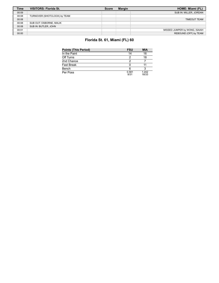| <b>Time</b> | <b>VISITORS: Florida St.</b> | <b>Score</b> | <b>Margin</b> | HOME: Miami (FL)              |
|-------------|------------------------------|--------------|---------------|-------------------------------|
| 00:09       |                              |              |               | SUB IN: MILLER, JORDAN        |
| 00:08       | TURNOVER (SHOTCLOCK) by TEAM |              |               |                               |
| 00:08       |                              |              |               | <b>TIMEOUT TEAM</b>           |
| 00:08       | SUB OUT: OSBORNE, MALIK      |              |               |                               |
| 00:08       | SUB IN: BUTLER, JOHN         |              |               |                               |
| 00:01       |                              |              |               | MISSED JUMPER by WONG, ISAIAH |
| 00:00       |                              |              |               | REBOUND (OFF) by TEAM         |

# **Florida St. 61, Miami (FL) 60**

| <b>Points (This Period)</b> | <b>FSU</b>    | <b>MIA</b>     |
|-----------------------------|---------------|----------------|
| In the Paint                | 14            | 16             |
| Off Turns                   | 2             | 18             |
| 2nd Chance                  | 2             |                |
| Fast Break                  |               |                |
| Bench                       | 6             |                |
| Per Poss                    | 0.581<br>9/31 | 1.242<br>18/33 |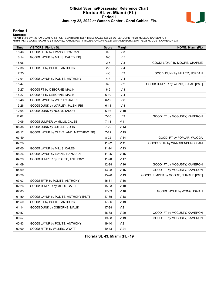### **Official Scoring/Possession Reference Chart Florida St. vs Miami (FL) Period 1 January 22, 2022 at Watsco Center - Coral Gables, Fla.**



#### **Period 1**

<mark>Startersː</mark><br>Florida St.: 0 EVANS,RAYQUAN (G); 2 POLITE,ANTHONY (G); 4 MILLS,CALEB (G); 22 BUTLER,JOHN (F); 24 MCLEOD,NAHEEM (C);<br>**Miami (FL)**: 2 WONG,ISAIAH (G); 3 MOORE,CHARLIE (G); 11 MILLER,JORDAN (G); 21 WAARDENBURG,SA

| Time  | <b>VISITORS: Florida St.</b>           | <b>Score</b> | <b>Margin</b>   | HOME: Miami (FL)                     |
|-------|----------------------------------------|--------------|-----------------|--------------------------------------|
| 18:46 | GOOD! 3PTR by EVANS, RAYQUAN           | $0 - 3$      | V <sub>3</sub>  |                                      |
| 18:14 | GOOD! LAYUP by MILLS, CALEB [FB]       | $0-5$        | V <sub>5</sub>  |                                      |
| 18:06 |                                        | $2 - 5$      | $V_3$           | GOOD! LAYUP by MOORE, CHARLIE        |
| 17:38 | GOOD! FT by POLITE, ANTHONY            | $2-6$        | V <sub>4</sub>  |                                      |
| 17:25 |                                        | $4 - 6$      | V <sub>2</sub>  | GOOD! DUNK by MILLER, JORDAN         |
| 17:01 | GOOD! LAYUP by POLITE, ANTHONY         | $4 - 8$      | V <sub>4</sub>  |                                      |
| 15:47 |                                        | $6 - 8$      | V <sub>2</sub>  | GOOD! JUMPER by WONG, ISAIAH [PNT]   |
| 15:27 | GOOD! FT by OSBORNE, MALIK             | $6-9$        | $V_3$           |                                      |
| 15:27 | GOOD! FT by OSBORNE, MALIK             | 6-10         | V <sub>4</sub>  |                                      |
| 13:46 | GOOD! LAYUP by WARLEY, JALEN           | 6-12         | $V_6$           |                                      |
| 13:26 | GOOD! DUNK by WARLEY, JALEN [FB]       | 6-14         | V8              |                                      |
| 12:04 | GOOD! DUNK by NGOM, TANOR              | $6 - 16$     | $V$ 10          |                                      |
| 11:02 |                                        | 7-16         | V <sub>9</sub>  | GOOD! FT by MCGUSTY, KAMERON         |
| 10:05 | GOOD! JUMPER by MILLS, CALEB           | $7 - 18$     | V <sub>11</sub> |                                      |
| 08:38 | GOOD! DUNK by BUTLER, JOHN             | $7 - 20$     | V <sub>13</sub> |                                      |
| 08:12 | GOOD! LAYUP by CLEVELAND, MATTHEW [FB] | $7 - 22$     | V <sub>15</sub> |                                      |
| 07:49 |                                        | $8 - 22$     | V <sub>14</sub> | GOOD! FT by POPLAR, WOOGA            |
| 07:28 |                                        | $11 - 22$    | V <sub>11</sub> | GOOD! 3PTR by WAARDENBURG, SAM       |
| 07:00 | GOOD! LAYUP by MILLS, CALEB            | $11 - 24$    | V <sub>13</sub> |                                      |
| 05:26 | GOOD! LAYUP by EVANS, RAYQUAN          | $11 - 26$    | V <sub>15</sub> |                                      |
| 04:29 | GOOD! JUMPER by POLITE, ANTHONY        | $11 - 28$    | V <sub>17</sub> |                                      |
| 04:09 |                                        | 12-28        | V <sub>16</sub> | GOOD! FT by MCGUSTY, KAMERON         |
| 04:09 |                                        | 13-28        | V <sub>15</sub> | GOOD! FT by MCGUSTY, KAMERON         |
| 03:28 |                                        | 15-28        | V <sub>13</sub> | GOOD! JUMPER by MOORE, CHARLIE [PNT] |
| 03:03 | GOOD! 3PTR by POLITE, ANTHONY          | 15-31        | $V$ 16          |                                      |
| 02:26 | GOOD! JUMPER by MILLS, CALEB           | 15-33        | V <sub>18</sub> |                                      |
| 02:03 |                                        | 17-33        | $V$ 16          | GOOD! LAYUP by WONG, ISAIAH          |
| 01:50 | GOOD! LAYUP by POLITE, ANTHONY [PNT]   | 17-35        | V <sub>18</sub> |                                      |
| 01:50 | GOOD! FT by POLITE, ANTHONY            | 17-36        | V 19            |                                      |
| 01:14 | GOOD! DUNK by OSBORNE, MALIK           | 17-38        | V <sub>21</sub> |                                      |
| 00:57 |                                        | 18-38        | V <sub>20</sub> | GOOD! FT by MCGUSTY, KAMERON         |
| 00:57 |                                        | 19-38        | $V$ 19          | GOOD! FT by MCGUSTY, KAMERON         |
| 00:43 | GOOD! LAYUP by POLITE, ANTHONY         | 19-40        | V <sub>21</sub> |                                      |
| 00:00 | GOOD! 3PTR by WILKES, WYATT            | 19-43        | V <sub>24</sub> |                                      |

**Florida St. 43, Miami (FL) 19**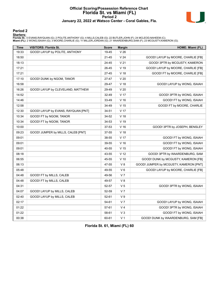#### **Official Scoring/Possession Reference Chart Florida St. vs Miami (FL) Period 2 January 22, 2022 at Watsco Center - Coral Gables, Fla.**



#### **Period 2**

<mark>Startersː</mark><br>Florida St.: 0 EVANS,RAYQUAN (G); 2 POLITE,ANTHONY (G); 4 MILLS,CALEB (G); 22 BUTLER,JOHN (F); 24 MCLEOD,NAHEEM (C);<br>**Miami (FL)**: 2 WONG,ISAIAH (G); 3 MOORE,CHARLIE (G); 11 MILLER,JORDAN (G); 21 WAARDENBURG,SA

| <b>Time</b> | <b>VISITORS: Florida St.</b>        | <b>Score</b> | <b>Margin</b>   | HOME: Miami (FL)                       |
|-------------|-------------------------------------|--------------|-----------------|----------------------------------------|
| 19:33       | GOOD! LAYUP by POLITE, ANTHONY      | 19-45        | V <sub>26</sub> |                                        |
| 18:50       |                                     | $21 - 45$    | V <sub>24</sub> | GOOD! LAYUP by MOORE, CHARLIE [FB]     |
| 18:13       |                                     | 24-45        | V <sub>21</sub> | GOOD! 3PTR by MCGUSTY, KAMERON         |
| 17:21       |                                     | 26-45        | V 19            | GOOD! LAYUP by MOORE, CHARLIE [FB]     |
| 17:21       |                                     | $27 - 45$    | V <sub>18</sub> | GOOD! FT by MOORE, CHARLIE [FB]        |
| 17:10       | GOOD! DUNK by NGOM, TANOR           | 27-47        | V <sub>20</sub> |                                        |
| 16:58       |                                     | 29-47        | $V$ 18          | GOOD! LAYUP by WONG, ISAIAH            |
| 16:26       | GOOD! LAYUP by CLEVELAND, MATTHEW   | 29-49        | V <sub>20</sub> |                                        |
| 14:52       |                                     | 32-49        | V <sub>17</sub> | GOOD! 3PTR by WONG, ISAIAH             |
| 14:46       |                                     | 33-49        | V <sub>16</sub> | GOOD! FT by WONG, ISAIAH               |
| 12:58       |                                     | 34-49        | V <sub>15</sub> | GOOD! FT by MOORE, CHARLIE             |
| 12:30       | GOOD! LAYUP by EVANS, RAYQUAN [PNT] | 34-51        | V <sub>17</sub> |                                        |
| 10:34       | GOOD! FT by NGOM, TANOR             | 34-52        | V <sub>18</sub> |                                        |
| 10:34       | GOOD! FT by NGOM, TANOR             | 34-53        | $V$ 19          |                                        |
| 10:00       |                                     | 37-53        | V <sub>16</sub> | GOOD! 3PTR by JOSEPH, BENSLEY          |
| 09:23       | GOOD! JUMPER by MILLS, CALEB [PNT]  | 37-55        | V <sub>18</sub> |                                        |
| 09:01       |                                     | 38-55        | V <sub>17</sub> | GOOD! FT by WONG, ISAIAH               |
| 09:01       |                                     | 39-55        | V <sub>16</sub> | GOOD! FT by WONG, ISAIAH               |
| 09:01       |                                     | 40-55        | V <sub>15</sub> | GOOD! FT by WONG, ISAIAH               |
| 08:18       |                                     | 43-55        | V <sub>12</sub> | GOOD! 3PTR by WAARDENBURG, SAM         |
| 06:55       |                                     | 45-55        | $V$ 10          | GOOD! DUNK by MCGUSTY, KAMERON [FB]    |
| 06:13       |                                     | 47-55        | V8              | GOOD! JUMPER by MCGUSTY, KAMERON [PNT] |
| 05:48       |                                     | 49-55        | $V_6$           | GOOD! LAYUP by MOORE, CHARLIE [FB]     |
| 04:48       | GOOD! FT by MILLS, CALEB            | 49-56        | V <sub>7</sub>  |                                        |
| 04:48       | GOOD! FT by MILLS, CALEB            | 49-57        | V8              |                                        |
| 04:31       |                                     | 52-57        | V <sub>5</sub>  | GOOD! 3PTR by WONG, ISAIAH             |
| 04:07       | GOOD! LAYUP by MILLS, CALEB         | 52-59        | V <sub>7</sub>  |                                        |
| 02:40       | GOOD! LAYUP by MILLS, CALEB         | 52-61        | V <sub>9</sub>  |                                        |
| 02:17       |                                     | 54-61        | V <sub>7</sub>  | GOOD! LAYUP by WONG, ISAIAH            |
| 01:22       |                                     | 57-61        | V <sub>4</sub>  | GOOD! 3PTR by WONG, ISAIAH             |
| 01:22       |                                     | 58-61        | $V_3$           | GOOD! FT by WONG, ISAIAH               |
| 00:38       |                                     | 60-61        | V <sub>1</sub>  | GOOD! DUNK by WAARDENBURG, SAM [FB]    |

**Florida St. 61, Miami (FL) 60**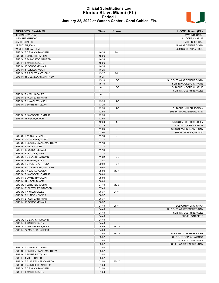#### **Official Substitutions Log Florida St. vs Miami (FL) Period 1 January 22, 2022 at Watsco Center - Coral Gables, Fla.**



| <b>VISITORS: Florida St.</b>   | Time  | <b>Score</b> | HOME: Miami (FL)          |
|--------------------------------|-------|--------------|---------------------------|
| 0 EVANS, RAYQUAN               |       |              | 2 WONG.ISAIAH             |
| 2 POLITE, ANTHONY              |       |              | 3 MOORE, CHARLIE          |
| 4 MILLS, CALEB                 |       |              | 11 MILLER, JORDAN         |
| 22 BUTLER, JOHN                |       |              | 21 WAARDENBURG, SAM       |
| 24 MCLEOD, NAHEEM              |       |              | 23 MCGUSTY, KAMERON       |
| SUB OUT: 0 EVANS, RAYQUAN      | 16:26 | $8-4$        |                           |
| SUB OUT: 22 BUTLER, JOHN       | 16:26 |              |                           |
| SUB OUT: 24 MCLEOD, NAHEEM     | 16:26 |              |                           |
| SUB IN: 1 WARLEY, JALEN        | 16:26 |              |                           |
| SUB IN: 10 OSBORNE, MALIK      | 16:26 |              |                           |
| SUB IN: 31 WILKES, WYATT       | 16:26 |              |                           |
| SUB OUT: 2 POLITE, ANTHONY     | 15:27 | $8-6$        |                           |
| SUB IN: 35 CLEVELAND, MATTHEW  | 15:27 |              |                           |
|                                | 15:10 | $10-6$       | SUB OUT: WAARDENBURG, SAM |
|                                | 15:10 |              | SUB IN: WALKER, ANTHONY   |
|                                | 14:11 | $10-6$       | SUB OUT: MOORE, CHARLIE   |
|                                | 14:11 |              | SUB IN: JOSEPH, BENSLEY   |
| SUB OUT: 4 MILLS, CALEB        | 14:11 |              |                           |
| SUB IN: 2 POLITE, ANTHONY      | 14:11 |              |                           |
| SUB OUT: 1 WARLEY, JALEN       | 13:26 | $14-6$       |                           |
| SUB IN: 0 EVANS, RAYQUAN       | 13:26 |              |                           |
|                                | 12:50 | 14-6         | SUB OUT: MILLER, JORDAN   |
|                                | 12:50 |              | SUB IN: WAARDENBURG, SAM  |
| SUB OUT: 10 OSBORNE, MALIK     | 12:50 |              |                           |
| SUB IN: 11 NGOM, TANOR         | 12:50 |              |                           |
|                                | 12:39 | $14-6$       | SUB OUT: JOSEPH, BENSLEY  |
|                                | 12:39 |              | SUB IN: MOORE.CHARLIE     |
|                                | 11:56 | $16-6$       | SUB OUT: WALKER, ANTHONY  |
|                                | 11:56 |              | SUB IN: POPLAR, WOOGA     |
| SUB OUT: 11 NGOM, TANOR        | 11:13 | 16-6         |                           |
| SUB OUT: 31 WILKES, WYATT      | 11:13 |              |                           |
| SUB OUT: 35 CLEVELAND, MATTHEW | 11:13 |              |                           |
| SUB IN: 4 MILLS, CALEB         | 11:13 |              |                           |
| SUB IN: 10 OSBORNE, MALIK      | 11:13 |              |                           |
| SUB IN: 22 BUTLER, JOHN        | 11:13 |              |                           |
| SUB OUT: 0 EVANS, RAYQUAN      | 11:02 | $16-6$       |                           |
| SUB IN: 1 WARLEY, JALEN        | 11:02 |              |                           |
| SUB OUT: 2 POLITE, ANTHONY     | 09:02 | 18-7         |                           |
| SUB IN: 35 CLEVELAND MATTHEW   | 09:02 |              |                           |
| SUB OUT: 1 WARLEY, JALEN       | 08:09 | $22 - 7$     |                           |
| SUB OUT: 10 OSBORNE, MALIK     | 08:09 |              |                           |
| SUB IN: 0 EVANS, RAYQUAN       | 08:09 |              |                           |
| SUB IN: 11 NGOM, TANOR         | 08:09 |              |                           |
| SUB OUT: 22 BUTLER, JOHN       | 07:49 | $22 - 8$     |                           |
| SUB IN: 21 FLETCHER CAM'RON    | 07:49 |              |                           |
| SUB OUT: 4 MILLS, CALEB        | 06:37 | 24-11        |                           |
| SUB OUT: 11 NGOM, TANOR        | 06:37 |              |                           |
| SUB IN: 2 POLITE, ANTHONY      | 06:37 |              |                           |
| SUB IN: 10 OSBORNE, MALIK      | 06:37 |              |                           |
|                                | 04:40 | $26-11$      | SUB OUT: WONG, ISAIAH     |
|                                | 04:40 |              | SUB OUT: WAARDENBURG, SAM |
|                                | 04:40 |              | SUB IN: JOSEPH, BENSLEY   |
|                                | 04:40 |              | SUB IN: GAK, DENG         |
| SUB OUT: 0 EVANS, RAYQUAN      | 04:40 |              |                           |
| SUB IN: 1 WARLEY, JALEN        | 04:40 |              |                           |
| SUB OUT: 10 OSBORNE, MALIK     | 04:09 | 28-13        |                           |
| SUB IN: 24 MCLEOD, NAHEEM      | 04:09 |              |                           |
|                                | 03:52 | 28-13        | SUB OUT: JOSEPH, BENSLEY  |
|                                | 03:52 |              | SUB OUT: POPLAR, WOOGA    |
|                                | 03:52 |              | SUB IN: WONG, ISAIAH      |
|                                | 03:52 |              | SUB IN: WAARDENBURG, SAM  |
| SUB OUT: 1 WARLEY, JALEN       | 03:52 |              |                           |
| SUB OUT: 35 CLEVELAND, MATTHEW | 03:52 |              |                           |
| SUB IN: 0 EVANS, RAYQUAN       | 03:52 |              |                           |
| SUB IN: 4 MILLS, CALEB         | 03:52 |              |                           |
| SUB OUT: 21 FLETCHER, CAM'RON  | 01:50 | $35-17$      |                           |
| SUB OUT: 24 MCLEOD, NAHEEM     | 01:50 |              |                           |
| SUB OUT: 0 EVANS, RAYQUAN      | 01:50 |              |                           |
| SUB IN: 1 WARLEY, JALEN        | 01:50 |              |                           |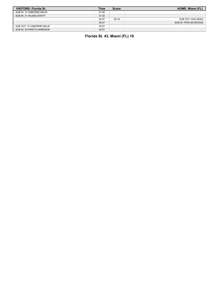| <b>VISITORS: Florida St.</b> | Time  | <b>Score</b> | <b>HOME: Miami (FL)</b> |
|------------------------------|-------|--------------|-------------------------|
| SUB IN: 10 OSBORNE, MALIK    | 01:50 |              |                         |
| SUB IN: 31 WILKES, WYATT     | 01:50 |              |                         |
|                              | 00:57 | $38-18$      | SUB OUT: GAK.DENG       |
|                              | 00:57 |              | SUB IN: POPLAR, WOOGA   |
| SUB OUT: 10 OSBORNE.MALIK    | 00:57 |              |                         |
| SUB IN: 30 PRIETO.HARRISON   | 00:57 |              |                         |